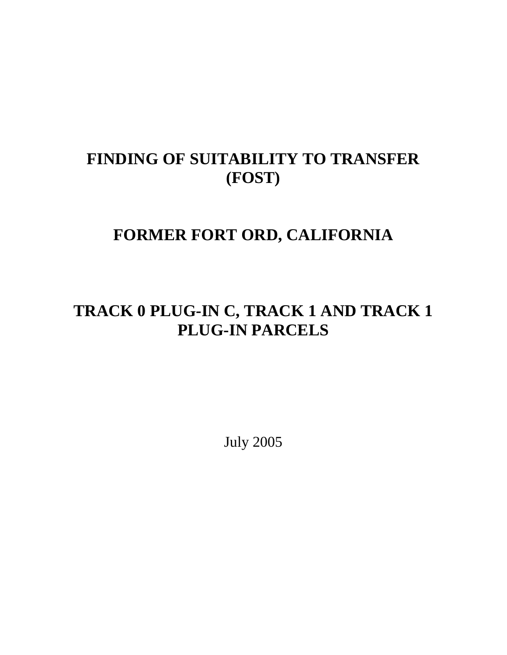# **FINDING OF SUITABILITY TO TRANSFER (FOST)**

# **FORMER FORT ORD, CALIFORNIA**

# **TRACK 0 PLUG-IN C, TRACK 1 AND TRACK 1 PLUG-IN PARCELS**

July 2005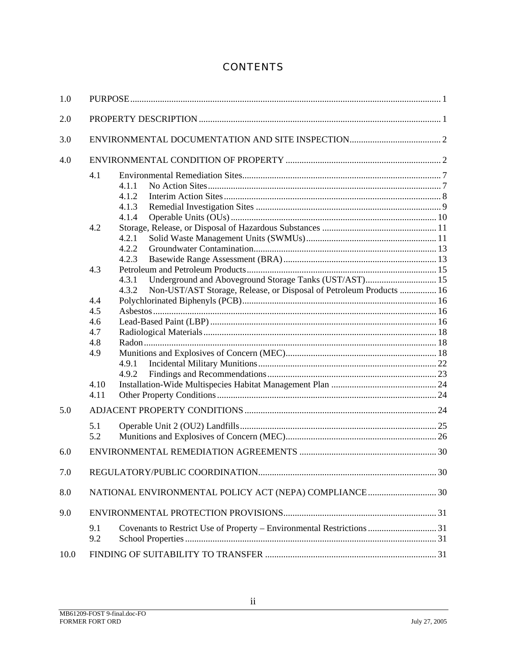# **CONTENTS**

| 1.0  |                                                                             |                                                                                                                                                                                                                                  |  |  |
|------|-----------------------------------------------------------------------------|----------------------------------------------------------------------------------------------------------------------------------------------------------------------------------------------------------------------------------|--|--|
| 2.0  |                                                                             |                                                                                                                                                                                                                                  |  |  |
| 3.0  |                                                                             |                                                                                                                                                                                                                                  |  |  |
| 4.0  |                                                                             |                                                                                                                                                                                                                                  |  |  |
|      | 4.1<br>4.2<br>4.3<br>4.4<br>4.5<br>4.6<br>4.7<br>4.8<br>4.9<br>4.10<br>4.11 | 4.1.1<br>4.1.2<br>4.1.3<br>4.1.4<br>4.2.1<br>4.2.2<br>4.2.3<br>Underground and Aboveground Storage Tanks (UST/AST) 15<br>4.3.1<br>Non-UST/AST Storage, Release, or Disposal of Petroleum Products  16<br>4.3.2<br>4.9.1<br>4.9.2 |  |  |
| 5.0  |                                                                             |                                                                                                                                                                                                                                  |  |  |
|      | 5.1<br>5.2                                                                  |                                                                                                                                                                                                                                  |  |  |
| 6.0  |                                                                             |                                                                                                                                                                                                                                  |  |  |
| 7.0  |                                                                             |                                                                                                                                                                                                                                  |  |  |
| 8.0  | NATIONAL ENVIRONMENTAL POLICY ACT (NEPA) COMPLIANCE  30                     |                                                                                                                                                                                                                                  |  |  |
| 9.0  |                                                                             |                                                                                                                                                                                                                                  |  |  |
|      | 9.1<br>9.2                                                                  | Covenants to Restrict Use of Property - Environmental Restrictions  31                                                                                                                                                           |  |  |
| 10.0 |                                                                             |                                                                                                                                                                                                                                  |  |  |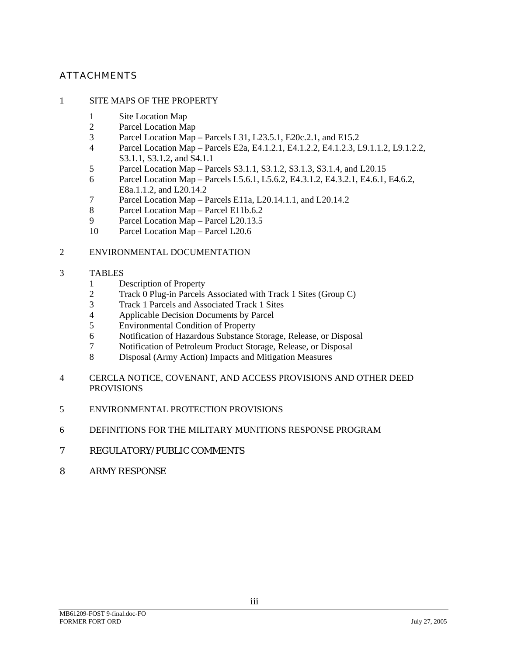#### ATTACHMENTS

#### 1 SITE MAPS OF THE PROPERTY

- 1 Site Location Map
- 2 Parcel Location Map<br>3 Parcel Location Map
- 3 Parcel Location Map Parcels L31, L23.5.1, E20c.2.1, and E15.2
- 4 Parcel Location Map Parcels E2a, E4.1.2.1, E4.1.2.2, E4.1.2.3, L9.1.1.2, L9.1.2.2, S3.1.1, S3.1.2, and S4.1.1
- 5 Parcel Location Map Parcels S3.1.1, S3.1.2, S3.1.3, S3.1.4, and L20.15
- 6 Parcel Location Map Parcels L5.6.1, L5.6.2, E4.3.1.2, E4.3.2.1, E4.6.1, E4.6.2, E8a.1.1.2, and L20.14.2
- 7 Parcel Location Map Parcels E11a, L20.14.1.1, and L20.14.2
- 8 Parcel Location Map Parcel E11b.6.2
- 9 Parcel Location Map Parcel L20.13.5
- 10 Parcel Location Map Parcel L20.6

#### 2 ENVIRONMENTAL DOCUMENTATION

- 3 TABLES
	- 1 Description of Property
	- 2 Track 0 Plug-in Parcels Associated with Track 1 Sites (Group C)
	- 3 Track 1 Parcels and Associated Track 1 Sites
	- 4 Applicable Decision Documents by Parcel
	- 5 Environmental Condition of Property
	- 6 Notification of Hazardous Substance Storage, Release, or Disposal
	- 7 Notification of Petroleum Product Storage, Release, or Disposal
	- 8 Disposal (Army Action) Impacts and Mitigation Measures
- 4 CERCLA NOTICE, COVENANT, AND ACCESS PROVISIONS AND OTHER DEED PROVISIONS
- 5 ENVIRONMENTAL PROTECTION PROVISIONS
- 6 DEFINITIONS FOR THE MILITARY MUNITIONS RESPONSE PROGRAM
- 7 REGULATORY/PUBLIC COMMENTS
- 8 ARMY RESPONSE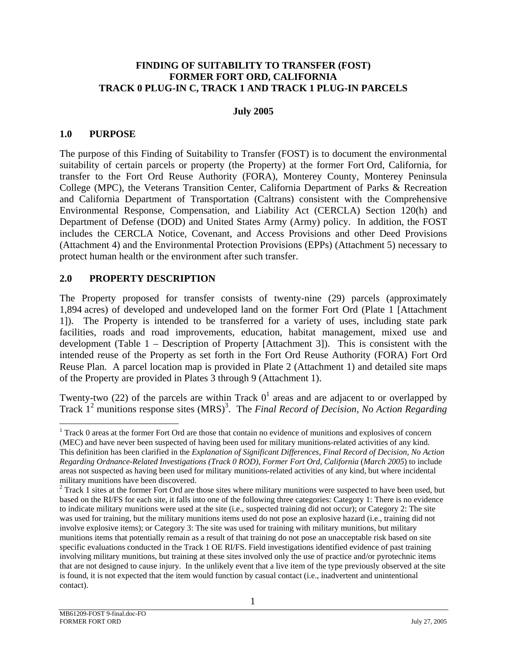#### <span id="page-3-0"></span>**FINDING OF SUITABILITY TO TRANSFER (FOST) FORMER FORT ORD, CALIFORNIA TRACK 0 PLUG-IN C, TRACK 1 AND TRACK 1 PLUG-IN PARCELS**

#### **July 2005**

#### **1.0 PURPOSE**

The purpose of this Finding of Suitability to Transfer (FOST) is to document the environmental suitability of certain parcels or property (the Property) at the former Fort Ord, California, for transfer to the Fort Ord Reuse Authority (FORA), Monterey County, Monterey Peninsula College (MPC), the Veterans Transition Center, California Department of Parks & Recreation and California Department of Transportation (Caltrans) consistent with the Comprehensive Environmental Response, Compensation, and Liability Act (CERCLA) Section 120(h) and Department of Defense (DOD) and United States Army (Army) policy. In addition, the FOST includes the CERCLA Notice, Covenant, and Access Provisions and other Deed Provisions (Attachment 4) and the Environmental Protection Provisions (EPPs) (Attachment 5) necessary to protect human health or the environment after such transfer.

#### **2.0 PROPERTY DESCRIPTION**

The Property proposed for transfer consists of twenty-nine (29) parcels (approximately 1,894 acres) of developed and undeveloped land on the former Fort Ord (Plate 1 [Attachment 1]). The Property is intended to be transferred for a variety of uses, including state park facilities, roads and road improvements, education, habitat management, mixed use and development (Table 1 – Description of Property [Attachment 3]). This is consistent with the intended reuse of the Property as set forth in the Fort Ord Reuse Authority (FORA) Fort Ord Reuse Plan. A parcel location map is provided in Plate 2 (Attachment 1) and detailed site maps of the Property are provided in Plates 3 through 9 (Attachment 1).

Twenty-two (22) of the parcels are within Track  $0<sup>1</sup>$  $0<sup>1</sup>$  $0<sup>1</sup>$  areas and are adjacent to or overlapped by Track 1<sup>[2](#page-3-2)</sup> munitions response sites (MRS)<sup>[3](#page-3-3)</sup>. The *Final Record of Decision, No Action Regarding* 

<span id="page-3-1"></span> $\frac{1}{1}$ <sup>1</sup> Track 0 areas at the former Fort Ord are those that contain no evidence of munitions and explosives of concern (MEC) and have never been suspected of having been used for military munitions-related activities of any kind. This definition has been clarified in the *Explanation of Significant Differences, Final Record of Decision, No Action Regarding Ordnance-Related Investigations (Track 0 ROD), Former Fort Ord, California* (*March 2005*) to include areas not suspected as having been used for military munitions-related activities of any kind, but where incidental military munitions have been discovered. 2

<span id="page-3-3"></span><span id="page-3-2"></span> <sup>1</sup>  $2$  Track 1 sites at the former Fort Ord are those sites where military munitions were suspected to have been used, but based on the RI/FS for each site, it falls into one of the following three categories: Category 1: There is no evidence to indicate military munitions were used at the site (i.e., suspected training did not occur); or Category 2: The site was used for training, but the military munitions items used do not pose an explosive hazard (i.e., training did not involve explosive items); or Category 3: The site was used for training with military munitions, but military munitions items that potentially remain as a result of that training do not pose an unacceptable risk based on site specific evaluations conducted in the Track 1 OE RI/FS. Field investigations identified evidence of past training involving military munitions, but training at these sites involved only the use of practice and/or pyrotechnic items that are not designed to cause injury. In the unlikely event that a live item of the type previously observed at the site is found, it is not expected that the item would function by casual contact (i.e., inadvertent and unintentional contact).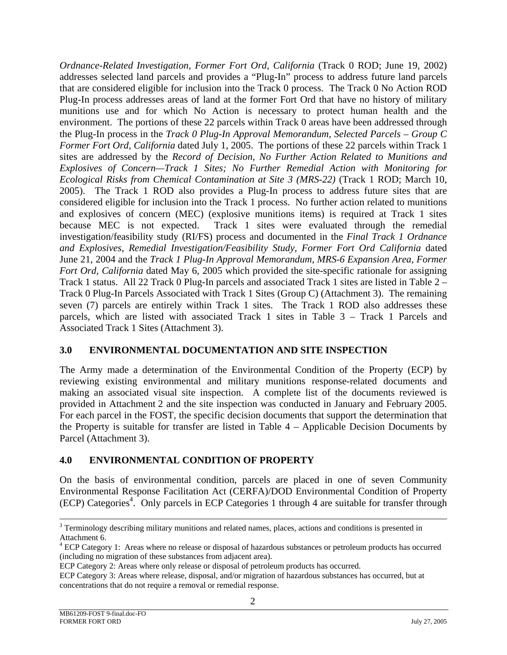<span id="page-4-0"></span>*Ordnance-Related Investigation, Former Fort Ord, California* (Track 0 ROD; June 19, 2002) addresses selected land parcels and provides a "Plug-In" process to address future land parcels that are considered eligible for inclusion into the Track 0 process. The Track 0 No Action ROD Plug-In process addresses areas of land at the former Fort Ord that have no history of military munitions use and for which No Action is necessary to protect human health and the environment. The portions of these 22 parcels within Track 0 areas have been addressed through the Plug-In process in the *Track 0 Plug-In Approval Memorandum, Selected Parcels – Group C Former Fort Ord, California* dated July 1, 2005. The portions of these 22 parcels within Track 1 sites are addressed by the *Record of Decision, No Further Action Related to Munitions and Explosives of Concern—Track 1 Sites; No Further Remedial Action with Monitoring for Ecological Risks from Chemical Contamination at Site 3 (MRS-22)* (Track 1 ROD; March 10, 2005). The Track 1 ROD also provides a Plug-In process to address future sites that are considered eligible for inclusion into the Track 1 process. No further action related to munitions and explosives of concern (MEC) (explosive munitions items) is required at Track 1 sites because MEC is not expected. Track 1 sites were evaluated through the remedial investigation/feasibility study (RI/FS) process and documented in the *Final Track 1 Ordnance and Explosives*, *Remedial Investigation/Feasibility Study, Former Fort Ord California* dated June 21, 2004 and the *Track 1 Plug-In Approval Memorandum, MRS-6 Expansion Area, Former Fort Ord, California* dated May 6, 2005 which provided the site-specific rationale for assigning Track 1 status. All 22 Track 0 Plug-In parcels and associated Track 1 sites are listed in Table 2 – Track 0 Plug-In Parcels Associated with Track 1 Sites (Group C) (Attachment 3). The remaining seven (7) parcels are entirely within Track 1 sites. The Track 1 ROD also addresses these parcels, which are listed with associated Track 1 sites in Table 3 – Track 1 Parcels and Associated Track 1 Sites (Attachment 3).

## **3.0 ENVIRONMENTAL DOCUMENTATION AND SITE INSPECTION**

The Army made a determination of the Environmental Condition of the Property (ECP) by reviewing existing environmental and military munitions response-related documents and making an associated visual site inspection. A complete list of the documents reviewed is provided in Attachment 2 and the site inspection was conducted in January and February 2005. For each parcel in the FOST, the specific decision documents that support the determination that the Property is suitable for transfer are listed in Table 4 – Applicable Decision Documents by Parcel (Attachment 3).

## **4.0 ENVIRONMENTAL CONDITION OF PROPERTY**

On the basis of environmental condition, parcels are placed in one of seven Community Environmental Response Facilitation Act (CERFA)/DOD Environmental Condition of Property (ECP) Categories<sup>[4](#page-4-1)</sup>. Only parcels in ECP Categories 1 through 4 are suitable for transfer through

<sup>&</sup>lt;sup>2</sup><br>3 <sup>3</sup> Terminology describing military munitions and related names, places, actions and conditions is presented in Attachment 6.

<span id="page-4-1"></span>ECP Category 1: Areas where no release or disposal of hazardous substances or petroleum products has occurred (including no migration of these substances from adjacent area).

ECP Category 2: Areas where only release or disposal of petroleum products has occurred.

ECP Category 3: Areas where release, disposal, and/or migration of hazardous substances has occurred, but at concentrations that do not require a removal or remedial response.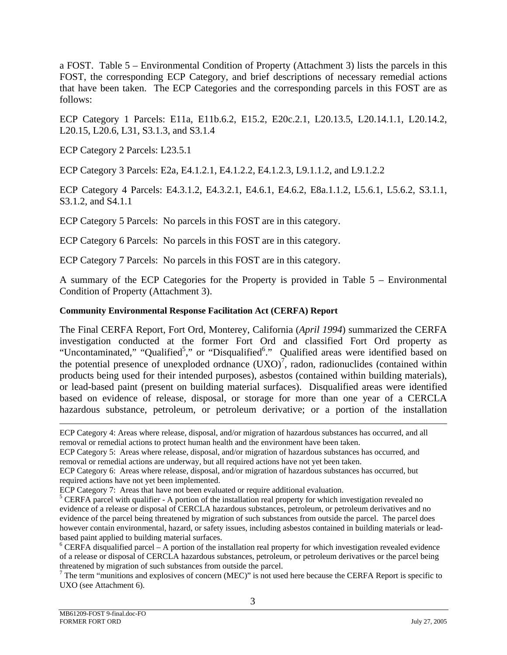a FOST. Table 5 – Environmental Condition of Property (Attachment 3) lists the parcels in this FOST, the corresponding ECP Category, and brief descriptions of necessary remedial actions that have been taken. The ECP Categories and the corresponding parcels in this FOST are as follows:

ECP Category 1 Parcels: E11a, E11b.6.2, E15.2, E20c.2.1, L20.13.5, L20.14.1.1, L20.14.2, L20.15, L20.6, L31, S3.1.3, and S3.1.4

ECP Category 2 Parcels: L23.5.1

ECP Category 3 Parcels: E2a, E4.1.2.1, E4.1.2.2, E4.1.2.3, L9.1.1.2, and L9.1.2.2

ECP Category 4 Parcels: E4.3.1.2, E4.3.2.1, E4.6.1, E4.6.2, E8a.1.1.2, L5.6.1, L5.6.2, S3.1.1, S3.1.2, and S4.1.1

ECP Category 5 Parcels: No parcels in this FOST are in this category.

ECP Category 6 Parcels: No parcels in this FOST are in this category.

ECP Category 7 Parcels: No parcels in this FOST are in this category.

A summary of the ECP Categories for the Property is provided in Table 5 – Environmental Condition of Property (Attachment 3).

#### **Community Environmental Response Facilitation Act (CERFA) Report**

The Final CERFA Report, Fort Ord, Monterey, California (*April 1994*) summarized the CERFA investigation conducted at the former Fort Ord and classified Fort Ord property as "Uncontaminated," "Qualified<sup>[5](#page-5-0)</sup>," or "Disqualified<sup>6</sup>[."](#page-5-1) Qualified areas were identified based on the potential presence of unexploded ordnance  $(UXO)^7$  $(UXO)^7$ , radon, radionuclides (contained within products being used for their intended purposes), asbestos (contained within building materials), or lead-based paint (present on building material surfaces). Disqualified areas were identified based on evidence of release, disposal, or storage for more than one year of a CERCLA hazardous substance, petroleum, or petroleum derivative; or a portion of the installation

l

ECP Category 4: Areas where release, disposal, and/or migration of hazardous substances has occurred, and all removal or remedial actions to protect human health and the environment have been taken.

ECP Category 5: Areas where release, disposal, and/or migration of hazardous substances has occurred, and removal or remedial actions are underway, but all required actions have not yet been taken.

ECP Category 6: Areas where release, disposal, and/or migration of hazardous substances has occurred, but required actions have not yet been implemented.

<span id="page-5-0"></span>

ECP Category 7: Areas that have not been evaluated or require additional evaluation.<br><sup>5</sup> CERFA parcel with qualifier - A portion of the installation real property for which investigation revealed no evidence of a release or disposal of CERCLA hazardous substances, petroleum, or petroleum derivatives and no evidence of the parcel being threatened by migration of such substances from outside the parcel. The parcel does however contain environmental, hazard, or safety issues, including asbestos contained in building materials or leadbased paint applied to building material surfaces. 6

<span id="page-5-1"></span> $6$  CERFA disqualified parcel – A portion of the installation real property for which investigation revealed evidence of a release or disposal of CERCLA hazardous substances, petroleum, or petroleum derivatives or the parcel being threatened by migration of such substances from outside the parcel. 7

<span id="page-5-2"></span>The term "munitions and explosives of concern (MEC)" is not used here because the CERFA Report is specific to UXO (see Attachment 6).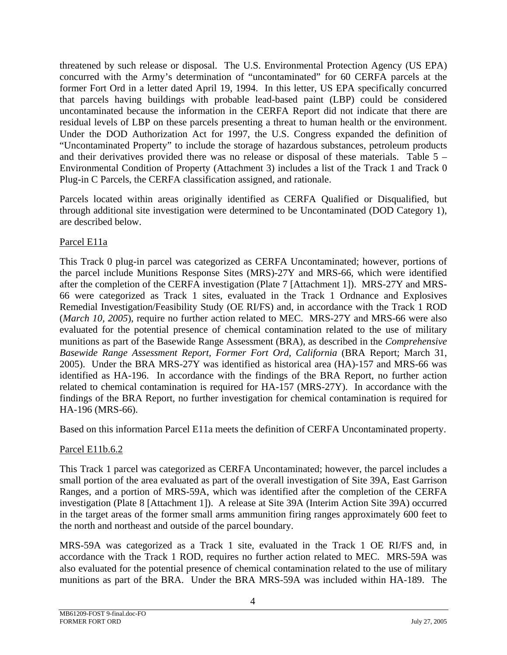threatened by such release or disposal. The U.S. Environmental Protection Agency (US EPA) concurred with the Army's determination of "uncontaminated" for 60 CERFA parcels at the former Fort Ord in a letter dated April 19, 1994. In this letter, US EPA specifically concurred that parcels having buildings with probable lead-based paint (LBP) could be considered uncontaminated because the information in the CERFA Report did not indicate that there are residual levels of LBP on these parcels presenting a threat to human health or the environment. Under the DOD Authorization Act for 1997, the U.S. Congress expanded the definition of "Uncontaminated Property" to include the storage of hazardous substances, petroleum products and their derivatives provided there was no release or disposal of these materials. Table 5 – Environmental Condition of Property (Attachment 3) includes a list of the Track 1 and Track 0 Plug-in C Parcels, the CERFA classification assigned, and rationale.

Parcels located within areas originally identified as CERFA Qualified or Disqualified, but through additional site investigation were determined to be Uncontaminated (DOD Category 1), are described below.

## Parcel E11a

This Track 0 plug-in parcel was categorized as CERFA Uncontaminated; however, portions of the parcel include Munitions Response Sites (MRS)-27Y and MRS-66, which were identified after the completion of the CERFA investigation (Plate 7 [Attachment 1]). MRS-27Y and MRS-66 were categorized as Track 1 sites, evaluated in the Track 1 Ordnance and Explosives Remedial Investigation/Feasibility Study (OE RI/FS) and, in accordance with the Track 1 ROD (*March 10, 2005*), require no further action related to MEC. MRS-27Y and MRS-66 were also evaluated for the potential presence of chemical contamination related to the use of military munitions as part of the Basewide Range Assessment (BRA), as described in the *Comprehensive Basewide Range Assessment Report, Former Fort Ord, California* (BRA Report; March 31, 2005). Under the BRA MRS-27Y was identified as historical area (HA)-157 and MRS-66 was identified as HA-196. In accordance with the findings of the BRA Report, no further action related to chemical contamination is required for HA-157 (MRS-27Y). In accordance with the findings of the BRA Report, no further investigation for chemical contamination is required for HA-196 (MRS-66).

Based on this information Parcel E11a meets the definition of CERFA Uncontaminated property.

# Parcel E11b.6.2

This Track 1 parcel was categorized as CERFA Uncontaminated; however, the parcel includes a small portion of the area evaluated as part of the overall investigation of Site 39A, East Garrison Ranges, and a portion of MRS-59A, which was identified after the completion of the CERFA investigation (Plate 8 [Attachment 1]). A release at Site 39A (Interim Action Site 39A) occurred in the target areas of the former small arms ammunition firing ranges approximately 600 feet to the north and northeast and outside of the parcel boundary.

MRS-59A was categorized as a Track 1 site, evaluated in the Track 1 OE RI/FS and, in accordance with the Track 1 ROD, requires no further action related to MEC. MRS-59A was also evaluated for the potential presence of chemical contamination related to the use of military munitions as part of the BRA. Under the BRA MRS-59A was included within HA-189. The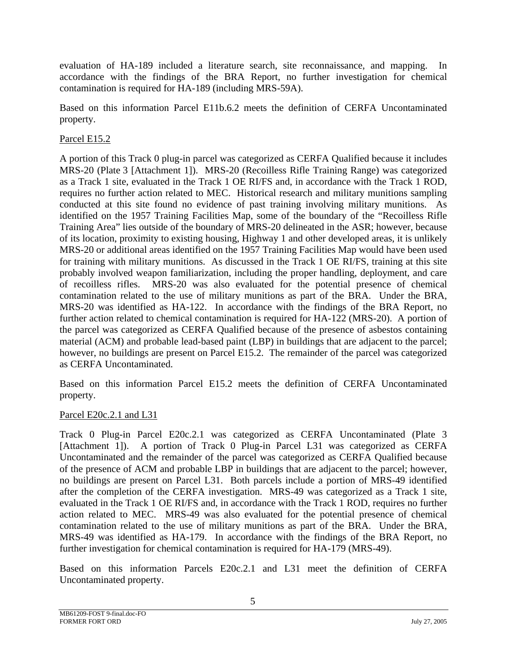evaluation of HA-189 included a literature search, site reconnaissance, and mapping. In accordance with the findings of the BRA Report, no further investigation for chemical contamination is required for HA-189 (including MRS-59A).

Based on this information Parcel E11b.6.2 meets the definition of CERFA Uncontaminated property.

## Parcel E15.2

A portion of this Track 0 plug-in parcel was categorized as CERFA Qualified because it includes MRS-20 (Plate 3 [Attachment 1]). MRS-20 (Recoilless Rifle Training Range) was categorized as a Track 1 site, evaluated in the Track 1 OE RI/FS and, in accordance with the Track 1 ROD, requires no further action related to MEC. Historical research and military munitions sampling conducted at this site found no evidence of past training involving military munitions. As identified on the 1957 Training Facilities Map, some of the boundary of the "Recoilless Rifle Training Area" lies outside of the boundary of MRS-20 delineated in the ASR; however, because of its location, proximity to existing housing, Highway 1 and other developed areas, it is unlikely MRS-20 or additional areas identified on the 1957 Training Facilities Map would have been used for training with military munitions. As discussed in the Track 1 OE RI/FS, training at this site probably involved weapon familiarization, including the proper handling, deployment, and care of recoilless rifles. MRS-20 was also evaluated for the potential presence of chemical contamination related to the use of military munitions as part of the BRA. Under the BRA, MRS-20 was identified as HA-122. In accordance with the findings of the BRA Report, no further action related to chemical contamination is required for HA-122 (MRS-20). A portion of the parcel was categorized as CERFA Qualified because of the presence of asbestos containing material (ACM) and probable lead-based paint (LBP) in buildings that are adjacent to the parcel; however, no buildings are present on Parcel E15.2. The remainder of the parcel was categorized as CERFA Uncontaminated.

Based on this information Parcel E15.2 meets the definition of CERFA Uncontaminated property.

#### Parcel E20c.2.1 and L31

Track 0 Plug-in Parcel E20c.2.1 was categorized as CERFA Uncontaminated (Plate 3 [Attachment 1]). A portion of Track 0 Plug-in Parcel L31 was categorized as CERFA Uncontaminated and the remainder of the parcel was categorized as CERFA Qualified because of the presence of ACM and probable LBP in buildings that are adjacent to the parcel; however, no buildings are present on Parcel L31. Both parcels include a portion of MRS-49 identified after the completion of the CERFA investigation. MRS-49 was categorized as a Track 1 site, evaluated in the Track 1 OE RI/FS and, in accordance with the Track 1 ROD, requires no further action related to MEC. MRS-49 was also evaluated for the potential presence of chemical contamination related to the use of military munitions as part of the BRA. Under the BRA, MRS-49 was identified as HA-179. In accordance with the findings of the BRA Report, no further investigation for chemical contamination is required for HA-179 (MRS-49).

Based on this information Parcels E20c.2.1 and L31 meet the definition of CERFA Uncontaminated property.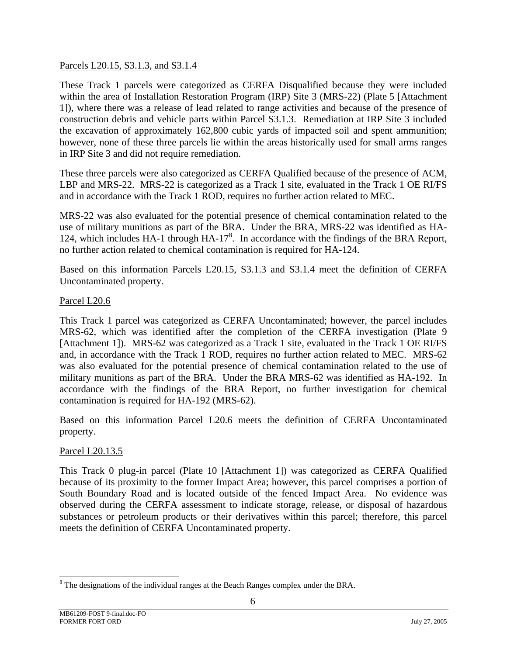#### Parcels L20.15, S3.1.3, and S3.1.4

These Track 1 parcels were categorized as CERFA Disqualified because they were included within the area of Installation Restoration Program (IRP) Site 3 (MRS-22) (Plate 5 [Attachment] 1]), where there was a release of lead related to range activities and because of the presence of construction debris and vehicle parts within Parcel S3.1.3. Remediation at IRP Site 3 included the excavation of approximately 162,800 cubic yards of impacted soil and spent ammunition; however, none of these three parcels lie within the areas historically used for small arms ranges in IRP Site 3 and did not require remediation.

These three parcels were also categorized as CERFA Qualified because of the presence of ACM, LBP and MRS-22. MRS-22 is categorized as a Track 1 site, evaluated in the Track 1 OE RI/FS and in accordance with the Track 1 ROD, requires no further action related to MEC.

MRS-22 was also evaluated for the potential presence of chemical contamination related to the use of military munitions as part of the BRA. Under the BRA, MRS-22 was identified as HA-124, which includes HA-1 through HA-17<sup>[8](#page-8-0)</sup>. In accordance with the findings of the BRA Report, no further action related to chemical contamination is required for HA-124.

Based on this information Parcels L20.15, S3.1.3 and S3.1.4 meet the definition of CERFA Uncontaminated property.

#### Parcel L20.6

This Track 1 parcel was categorized as CERFA Uncontaminated; however, the parcel includes MRS-62, which was identified after the completion of the CERFA investigation (Plate 9 [Attachment 1]). MRS-62 was categorized as a Track 1 site, evaluated in the Track 1 OE RI/FS and, in accordance with the Track 1 ROD, requires no further action related to MEC. MRS-62 was also evaluated for the potential presence of chemical contamination related to the use of military munitions as part of the BRA. Under the BRA MRS-62 was identified as HA-192. In accordance with the findings of the BRA Report, no further investigation for chemical contamination is required for HA-192 (MRS-62).

Based on this information Parcel L20.6 meets the definition of CERFA Uncontaminated property.

#### Parcel L20.13.5

This Track 0 plug-in parcel (Plate 10 [Attachment 1]) was categorized as CERFA Qualified because of its proximity to the former Impact Area; however, this parcel comprises a portion of South Boundary Road and is located outside of the fenced Impact Area. No evidence was observed during the CERFA assessment to indicate storage, release, or disposal of hazardous substances or petroleum products or their derivatives within this parcel; therefore, this parcel meets the definition of CERFA Uncontaminated property.

l

<span id="page-8-0"></span> $8$  The designations of the individual ranges at the Beach Ranges complex under the BRA.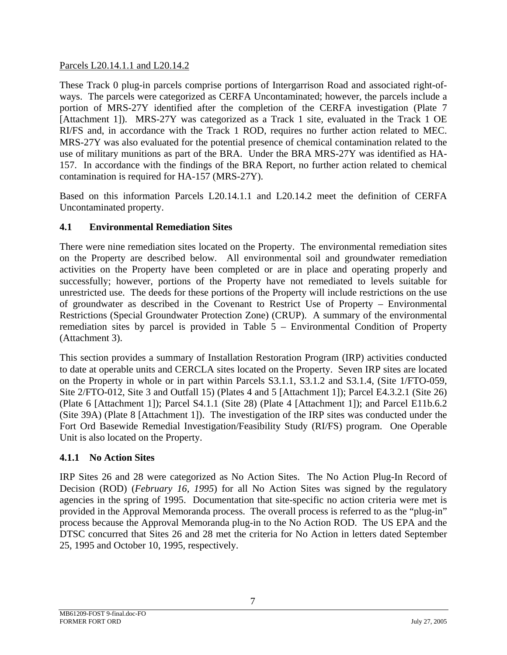<span id="page-9-0"></span>Parcels L20.14.1.1 and L20.14.2

These Track 0 plug-in parcels comprise portions of Intergarrison Road and associated right-ofways. The parcels were categorized as CERFA Uncontaminated; however, the parcels include a portion of MRS-27Y identified after the completion of the CERFA investigation (Plate 7 [Attachment 1]). MRS-27Y was categorized as a Track 1 site, evaluated in the Track 1 OE RI/FS and, in accordance with the Track 1 ROD, requires no further action related to MEC. MRS-27Y was also evaluated for the potential presence of chemical contamination related to the use of military munitions as part of the BRA. Under the BRA MRS-27Y was identified as HA-157. In accordance with the findings of the BRA Report, no further action related to chemical contamination is required for HA-157 (MRS-27Y).

Based on this information Parcels L20.14.1.1 and L20.14.2 meet the definition of CERFA Uncontaminated property.

# **4.1 Environmental Remediation Sites**

There were nine remediation sites located on the Property. The environmental remediation sites on the Property are described below. All environmental soil and groundwater remediation activities on the Property have been completed or are in place and operating properly and successfully; however, portions of the Property have not remediated to levels suitable for unrestricted use. The deeds for these portions of the Property will include restrictions on the use of groundwater as described in the Covenant to Restrict Use of Property – Environmental Restrictions (Special Groundwater Protection Zone) (CRUP). A summary of the environmental remediation sites by parcel is provided in Table 5 – Environmental Condition of Property (Attachment 3).

This section provides a summary of Installation Restoration Program (IRP) activities conducted to date at operable units and CERCLA sites located on the Property. Seven IRP sites are located on the Property in whole or in part within Parcels S3.1.1, S3.1.2 and S3.1.4, (Site 1/FTO-059, Site 2/FTO-012, Site 3 and Outfall 15) (Plates 4 and 5 [Attachment 1]); Parcel E4.3.2.1 (Site 26) (Plate 6 [Attachment 1]); Parcel S4.1.1 (Site 28) (Plate 4 [Attachment 1]); and Parcel E11b.6.2 (Site 39A) (Plate 8 [Attachment 1]). The investigation of the IRP sites was conducted under the Fort Ord Basewide Remedial Investigation/Feasibility Study (RI/FS) program. One Operable Unit is also located on the Property.

# **4.1.1 No Action Sites**

IRP Sites 26 and 28 were categorized as No Action Sites. The No Action Plug-In Record of Decision (ROD) (*February 16, 1995*) for all No Action Sites was signed by the regulatory agencies in the spring of 1995. Documentation that site-specific no action criteria were met is provided in the Approval Memoranda process. The overall process is referred to as the "plug-in" process because the Approval Memoranda plug-in to the No Action ROD. The US EPA and the DTSC concurred that Sites 26 and 28 met the criteria for No Action in letters dated September 25, 1995 and October 10, 1995, respectively.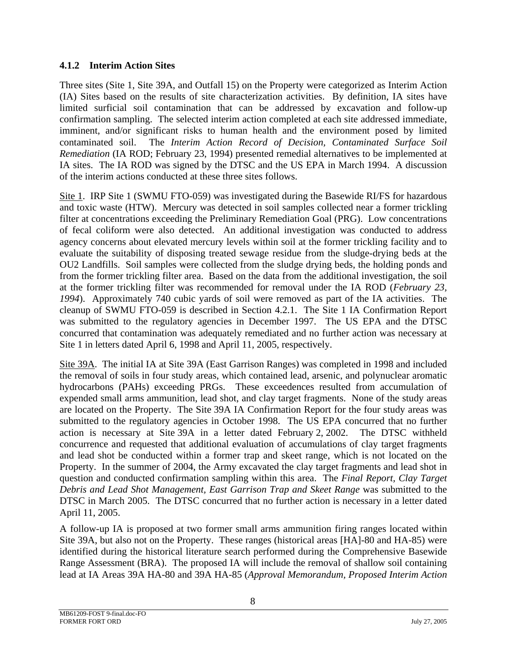#### <span id="page-10-0"></span>**4.1.2 Interim Action Sites**

Three sites (Site 1, Site 39A, and Outfall 15) on the Property were categorized as Interim Action (IA) Sites based on the results of site characterization activities. By definition, IA sites have limited surficial soil contamination that can be addressed by excavation and follow-up confirmation sampling. The selected interim action completed at each site addressed immediate, imminent, and/or significant risks to human health and the environment posed by limited contaminated soil. The *Interim Action Record of Decision, Contaminated Surface Soil Remediation* (IA ROD; February 23, 1994) presented remedial alternatives to be implemented at IA sites. The IA ROD was signed by the DTSC and the US EPA in March 1994. A discussion of the interim actions conducted at these three sites follows.

Site 1. IRP Site 1 (SWMU FTO-059) was investigated during the Basewide RI/FS for hazardous and toxic waste (HTW). Mercury was detected in soil samples collected near a former trickling filter at concentrations exceeding the Preliminary Remediation Goal (PRG). Low concentrations of fecal coliform were also detected. An additional investigation was conducted to address agency concerns about elevated mercury levels within soil at the former trickling facility and to evaluate the suitability of disposing treated sewage residue from the sludge-drying beds at the OU2 Landfills. Soil samples were collected from the sludge drying beds, the holding ponds and from the former trickling filter area. Based on the data from the additional investigation, the soil at the former trickling filter was recommended for removal under the IA ROD (*February 23, 1994*). Approximately 740 cubic yards of soil were removed as part of the IA activities. The cleanup of SWMU FTO-059 is described in Section 4.2.1. The Site 1 IA Confirmation Report was submitted to the regulatory agencies in December 1997. The US EPA and the DTSC concurred that contamination was adequately remediated and no further action was necessary at Site 1 in letters dated April 6, 1998 and April 11, 2005, respectively.

Site 39A. The initial IA at Site 39A (East Garrison Ranges) was completed in 1998 and included the removal of soils in four study areas, which contained lead, arsenic, and polynuclear aromatic hydrocarbons (PAHs) exceeding PRGs. These exceedences resulted from accumulation of expended small arms ammunition, lead shot, and clay target fragments. None of the study areas are located on the Property. The Site 39A IA Confirmation Report for the four study areas was submitted to the regulatory agencies in October 1998. The US EPA concurred that no further action is necessary at Site 39A in a letter dated February 2, 2002. The DTSC withheld concurrence and requested that additional evaluation of accumulations of clay target fragments and lead shot be conducted within a former trap and skeet range, which is not located on the Property. In the summer of 2004, the Army excavated the clay target fragments and lead shot in question and conducted confirmation sampling within this area. The *Final Report, Clay Target Debris and Lead Shot Management, East Garrison Trap and Skeet Range* was submitted to the DTSC in March 2005. The DTSC concurred that no further action is necessary in a letter dated April 11, 2005.

A follow-up IA is proposed at two former small arms ammunition firing ranges located within Site 39A, but also not on the Property. These ranges (historical areas [HA]-80 and HA-85) were identified during the historical literature search performed during the Comprehensive Basewide Range Assessment (BRA). The proposed IA will include the removal of shallow soil containing lead at IA Areas 39A HA-80 and 39A HA-85 (*Approval Memorandum, Proposed Interim Action*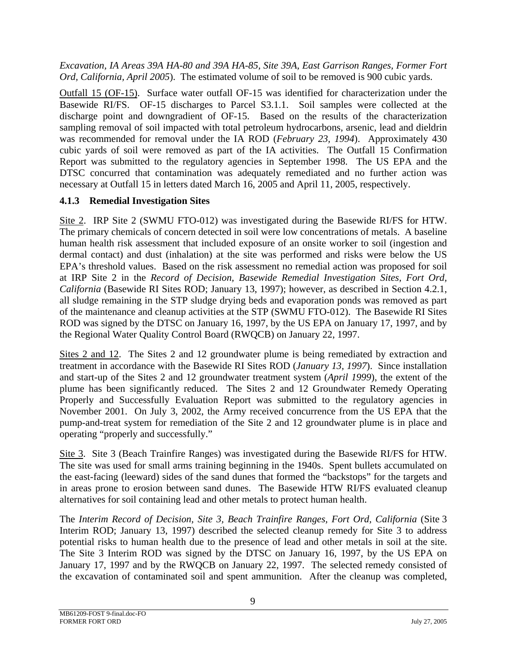<span id="page-11-0"></span>*Excavation, IA Areas 39A HA-80 and 39A HA-85, Site 39A, East Garrison Ranges, Former Fort Ord, California, April 2005*). The estimated volume of soil to be removed is 900 cubic yards.

Outfall 15 (OF-15). Surface water outfall OF-15 was identified for characterization under the Basewide RI/FS. OF-15 discharges to Parcel S3.1.1. Soil samples were collected at the discharge point and downgradient of OF-15. Based on the results of the characterization sampling removal of soil impacted with total petroleum hydrocarbons, arsenic, lead and dieldrin was recommended for removal under the IA ROD (*February 23, 1994*). Approximately 430 cubic yards of soil were removed as part of the IA activities. The Outfall 15 Confirmation Report was submitted to the regulatory agencies in September 1998. The US EPA and the DTSC concurred that contamination was adequately remediated and no further action was necessary at Outfall 15 in letters dated March 16, 2005 and April 11, 2005, respectively.

#### **4.1.3 Remedial Investigation Sites**

Site 2. IRP Site 2 (SWMU FTO-012) was investigated during the Basewide RI/FS for HTW. The primary chemicals of concern detected in soil were low concentrations of metals. A baseline human health risk assessment that included exposure of an onsite worker to soil (ingestion and dermal contact) and dust (inhalation) at the site was performed and risks were below the US EPA's threshold values. Based on the risk assessment no remedial action was proposed for soil at IRP Site 2 in the *Record of Decision, Basewide Remedial Investigation Sites, Fort Ord, California* (Basewide RI Sites ROD; January 13, 1997); however, as described in Section 4.2.1, all sludge remaining in the STP sludge drying beds and evaporation ponds was removed as part of the maintenance and cleanup activities at the STP (SWMU FTO-012). The Basewide RI Sites ROD was signed by the DTSC on January 16, 1997, by the US EPA on January 17, 1997, and by the Regional Water Quality Control Board (RWQCB) on January 22, 1997.

Sites 2 and 12. The Sites 2 and 12 groundwater plume is being remediated by extraction and treatment in accordance with the Basewide RI Sites ROD (*January 13, 1997*). Since installation and start-up of the Sites 2 and 12 groundwater treatment system (*April 1999*), the extent of the plume has been significantly reduced. The Sites 2 and 12 Groundwater Remedy Operating Properly and Successfully Evaluation Report was submitted to the regulatory agencies in November 2001. On July 3, 2002, the Army received concurrence from the US EPA that the pump-and-treat system for remediation of the Site 2 and 12 groundwater plume is in place and operating "properly and successfully."

Site 3. Site 3 (Beach Trainfire Ranges) was investigated during the Basewide RI/FS for HTW. The site was used for small arms training beginning in the 1940s. Spent bullets accumulated on the east-facing (leeward) sides of the sand dunes that formed the "backstops" for the targets and in areas prone to erosion between sand dunes. The Basewide HTW RI/FS evaluated cleanup alternatives for soil containing lead and other metals to protect human health.

The *Interim Record of Decision, Site 3, Beach Trainfire Ranges, Fort Ord, California* (Site 3 Interim ROD; January 13, 1997) described the selected cleanup remedy for Site 3 to address potential risks to human health due to the presence of lead and other metals in soil at the site. The Site 3 Interim ROD was signed by the DTSC on January 16, 1997, by the US EPA on January 17, 1997 and by the RWQCB on January 22, 1997. The selected remedy consisted of the excavation of contaminated soil and spent ammunition. After the cleanup was completed,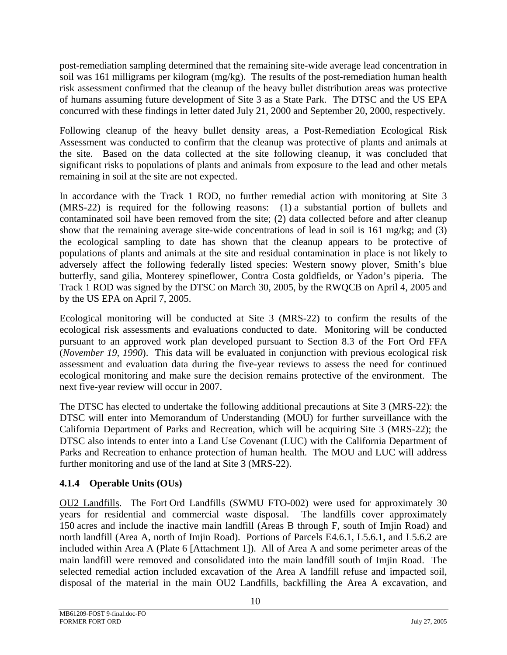<span id="page-12-0"></span>post-remediation sampling determined that the remaining site-wide average lead concentration in soil was 161 milligrams per kilogram (mg/kg). The results of the post-remediation human health risk assessment confirmed that the cleanup of the heavy bullet distribution areas was protective of humans assuming future development of Site 3 as a State Park. The DTSC and the US EPA concurred with these findings in letter dated July 21, 2000 and September 20, 2000, respectively.

Following cleanup of the heavy bullet density areas, a Post-Remediation Ecological Risk Assessment was conducted to confirm that the cleanup was protective of plants and animals at the site. Based on the data collected at the site following cleanup, it was concluded that significant risks to populations of plants and animals from exposure to the lead and other metals remaining in soil at the site are not expected.

In accordance with the Track 1 ROD, no further remedial action with monitoring at Site 3 (MRS-22) is required for the following reasons: (1) a substantial portion of bullets and contaminated soil have been removed from the site; (2) data collected before and after cleanup show that the remaining average site-wide concentrations of lead in soil is 161 mg/kg; and (3) the ecological sampling to date has shown that the cleanup appears to be protective of populations of plants and animals at the site and residual contamination in place is not likely to adversely affect the following federally listed species: Western snowy plover, Smith's blue butterfly, sand gilia, Monterey spineflower, Contra Costa goldfields, or Yadon's piperia. The Track 1 ROD was signed by the DTSC on March 30, 2005, by the RWQCB on April 4, 2005 and by the US EPA on April 7, 2005.

Ecological monitoring will be conducted at Site 3 (MRS-22) to confirm the results of the ecological risk assessments and evaluations conducted to date. Monitoring will be conducted pursuant to an approved work plan developed pursuant to Section 8.3 of the Fort Ord FFA (*November 19, 1990*). This data will be evaluated in conjunction with previous ecological risk assessment and evaluation data during the five-year reviews to assess the need for continued ecological monitoring and make sure the decision remains protective of the environment. The next five-year review will occur in 2007.

The DTSC has elected to undertake the following additional precautions at Site 3 (MRS-22): the DTSC will enter into Memorandum of Understanding (MOU) for further surveillance with the California Department of Parks and Recreation, which will be acquiring Site 3 (MRS-22); the DTSC also intends to enter into a Land Use Covenant (LUC) with the California Department of Parks and Recreation to enhance protection of human health. The MOU and LUC will address further monitoring and use of the land at Site 3 (MRS-22).

# **4.1.4 Operable Units (OUs)**

OU2 Landfills. The Fort Ord Landfills (SWMU FTO-002) were used for approximately 30 years for residential and commercial waste disposal. The landfills cover approximately 150 acres and include the inactive main landfill (Areas B through F, south of Imjin Road) and north landfill (Area A, north of Imjin Road). Portions of Parcels E4.6.1, L5.6.1, and L5.6.2 are included within Area A (Plate 6 [Attachment 1]). All of Area A and some perimeter areas of the main landfill were removed and consolidated into the main landfill south of Imjin Road. The selected remedial action included excavation of the Area A landfill refuse and impacted soil, disposal of the material in the main OU2 Landfills, backfilling the Area A excavation, and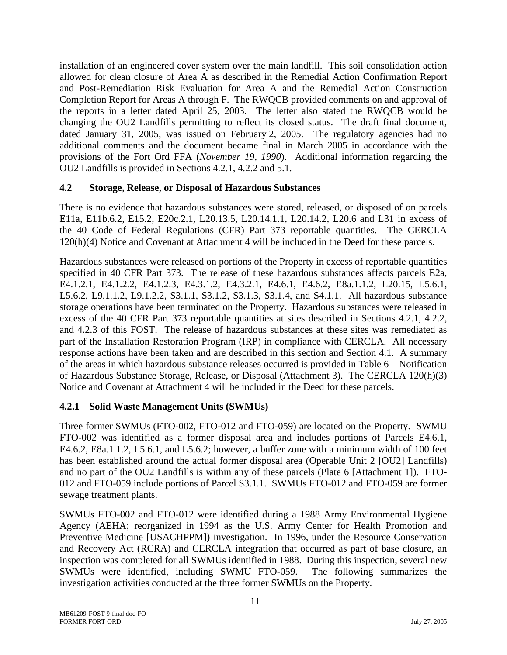<span id="page-13-0"></span>installation of an engineered cover system over the main landfill. This soil consolidation action allowed for clean closure of Area A as described in the Remedial Action Confirmation Report and Post-Remediation Risk Evaluation for Area A and the Remedial Action Construction Completion Report for Areas A through F. The RWQCB provided comments on and approval of the reports in a letter dated April 25, 2003. The letter also stated the RWQCB would be changing the OU2 Landfills permitting to reflect its closed status. The draft final document, dated January 31, 2005, was issued on February 2, 2005. The regulatory agencies had no additional comments and the document became final in March 2005 in accordance with the provisions of the Fort Ord FFA (*November 19, 1990*). Additional information regarding the OU2 Landfills is provided in Sections 4.2.1, 4.2.2 and 5.1.

## **4.2 Storage, Release, or Disposal of Hazardous Substances**

There is no evidence that hazardous substances were stored, released, or disposed of on parcels E11a, E11b.6.2, E15.2, E20c.2.1, L20.13.5, L20.14.1.1, L20.14.2, L20.6 and L31 in excess of the 40 Code of Federal Regulations (CFR) Part 373 reportable quantities. The CERCLA 120(h)(4) Notice and Covenant at Attachment 4 will be included in the Deed for these parcels.

Hazardous substances were released on portions of the Property in excess of reportable quantities specified in 40 CFR Part 373. The release of these hazardous substances affects parcels E2a, E4.1.2.1, E4.1.2.2, E4.1.2.3, E4.3.1.2, E4.3.2.1, E4.6.1, E4.6.2, E8a.1.1.2, L20.15, L5.6.1, L5.6.2, L9.1.1.2, L9.1.2.2, S3.1.1, S3.1.2, S3.1.3, S3.1.4, and S4.1.1. All hazardous substance storage operations have been terminated on the Property. Hazardous substances were released in excess of the 40 CFR Part 373 reportable quantities at sites described in Sections 4.2.1, 4.2.2, and 4.2.3 of this FOST. The release of hazardous substances at these sites was remediated as part of the Installation Restoration Program (IRP) in compliance with CERCLA. All necessary response actions have been taken and are described in this section and Section 4.1. A summary of the areas in which hazardous substance releases occurred is provided in Table 6 – Notification of Hazardous Substance Storage, Release, or Disposal (Attachment 3). The CERCLA 120(h)(3) Notice and Covenant at Attachment 4 will be included in the Deed for these parcels.

# **4.2.1 Solid Waste Management Units (SWMUs)**

Three former SWMUs (FTO-002, FTO-012 and FTO-059) are located on the Property. SWMU FTO-002 was identified as a former disposal area and includes portions of Parcels E4.6.1, E4.6.2, E8a.1.1.2, L5.6.1, and L5.6.2; however, a buffer zone with a minimum width of 100 feet has been established around the actual former disposal area (Operable Unit 2 [OU2] Landfills) and no part of the OU2 Landfills is within any of these parcels (Plate 6 [Attachment 1]). FTO-012 and FTO-059 include portions of Parcel S3.1.1. SWMUs FTO-012 and FTO-059 are former sewage treatment plants.

SWMUs FTO-002 and FTO-012 were identified during a 1988 Army Environmental Hygiene Agency (AEHA; reorganized in 1994 as the U.S. Army Center for Health Promotion and Preventive Medicine [USACHPPM]) investigation. In 1996, under the Resource Conservation and Recovery Act (RCRA) and CERCLA integration that occurred as part of base closure, an inspection was completed for all SWMUs identified in 1988. During this inspection, several new SWMUs were identified, including SWMU FTO-059. The following summarizes the investigation activities conducted at the three former SWMUs on the Property.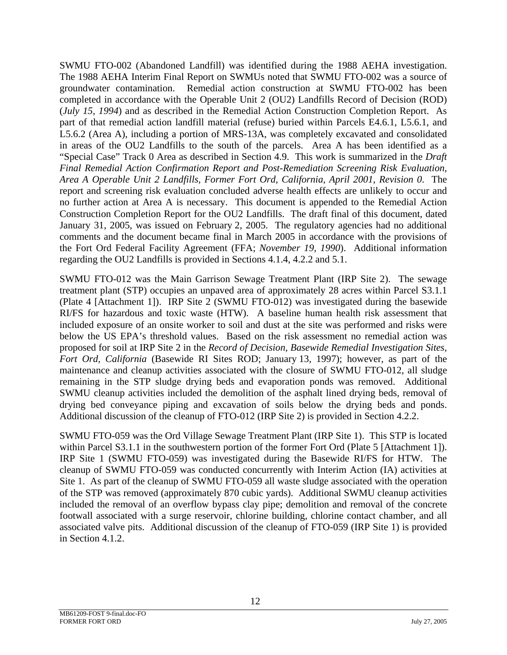SWMU FTO-002 (Abandoned Landfill) was identified during the 1988 AEHA investigation. The 1988 AEHA Interim Final Report on SWMUs noted that SWMU FTO-002 was a source of groundwater contamination. Remedial action construction at SWMU FTO-002 has been completed in accordance with the Operable Unit 2 (OU2) Landfills Record of Decision (ROD) (*July 15, 1994*) and as described in the Remedial Action Construction Completion Report. As part of that remedial action landfill material (refuse) buried within Parcels E4.6.1, L5.6.1, and L5.6.2 (Area A), including a portion of MRS-13A, was completely excavated and consolidated in areas of the OU2 Landfills to the south of the parcels. Area A has been identified as a "Special Case" Track 0 Area as described in Section 4.9. This work is summarized in the *Draft Final Remedial Action Confirmation Report and Post-Remediation Screening Risk Evaluation, Area A Operable Unit 2 Landfills, Former Fort Ord, California, April 2001, Revision 0*. The report and screening risk evaluation concluded adverse health effects are unlikely to occur and no further action at Area A is necessary. This document is appended to the Remedial Action Construction Completion Report for the OU2 Landfills. The draft final of this document, dated January 31, 2005, was issued on February 2, 2005. The regulatory agencies had no additional comments and the document became final in March 2005 in accordance with the provisions of the Fort Ord Federal Facility Agreement (FFA; *November 19, 1990*). Additional information regarding the OU2 Landfills is provided in Sections 4.1.4, 4.2.2 and 5.1.

SWMU FTO-012 was the Main Garrison Sewage Treatment Plant (IRP Site 2). The sewage treatment plant (STP) occupies an unpaved area of approximately 28 acres within Parcel S3.1.1 (Plate 4 [Attachment 1]). IRP Site 2 (SWMU FTO-012) was investigated during the basewide RI/FS for hazardous and toxic waste (HTW). A baseline human health risk assessment that included exposure of an onsite worker to soil and dust at the site was performed and risks were below the US EPA's threshold values. Based on the risk assessment no remedial action was proposed for soil at IRP Site 2 in the *Record of Decision, Basewide Remedial Investigation Sites, Fort Ord, California* (Basewide RI Sites ROD; January 13, 1997); however, as part of the maintenance and cleanup activities associated with the closure of SWMU FTO-012, all sludge remaining in the STP sludge drying beds and evaporation ponds was removed. Additional SWMU cleanup activities included the demolition of the asphalt lined drying beds, removal of drying bed conveyance piping and excavation of soils below the drying beds and ponds. Additional discussion of the cleanup of FTO-012 (IRP Site 2) is provided in Section 4.2.2.

SWMU FTO-059 was the Ord Village Sewage Treatment Plant (IRP Site 1). This STP is located within Parcel S3.1.1 in the southwestern portion of the former Fort Ord (Plate 5 [Attachment 1]). IRP Site 1 (SWMU FTO-059) was investigated during the Basewide RI/FS for HTW. The cleanup of SWMU FTO-059 was conducted concurrently with Interim Action (IA) activities at Site 1. As part of the cleanup of SWMU FTO-059 all waste sludge associated with the operation of the STP was removed (approximately 870 cubic yards). Additional SWMU cleanup activities included the removal of an overflow bypass clay pipe; demolition and removal of the concrete footwall associated with a surge reservoir, chlorine building, chlorine contact chamber, and all associated valve pits. Additional discussion of the cleanup of FTO-059 (IRP Site 1) is provided in Section 4.1.2.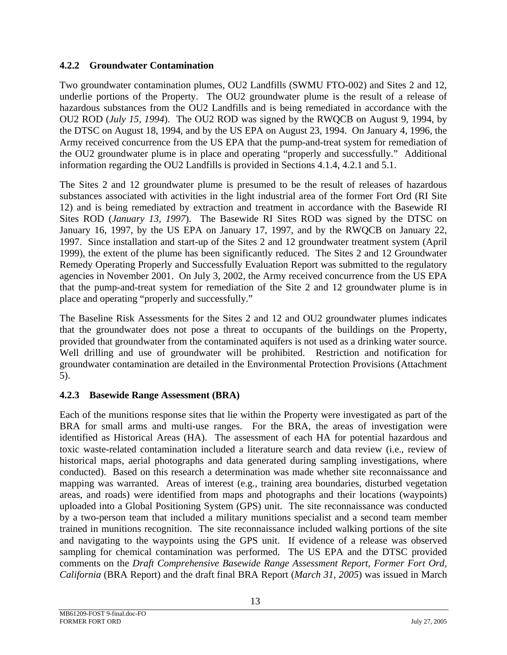## <span id="page-15-0"></span>**4.2.2 Groundwater Contamination**

Two groundwater contamination plumes, OU2 Landfills (SWMU FTO-002) and Sites 2 and 12, underlie portions of the Property. The OU2 groundwater plume is the result of a release of hazardous substances from the OU2 Landfills and is being remediated in accordance with the OU2 ROD (*July 15, 1994*). The OU2 ROD was signed by the RWQCB on August 9, 1994, by the DTSC on August 18, 1994, and by the US EPA on August 23, 1994. On January 4, 1996, the Army received concurrence from the US EPA that the pump-and-treat system for remediation of the OU2 groundwater plume is in place and operating "properly and successfully." Additional information regarding the OU2 Landfills is provided in Sections 4.1.4, 4.2.1 and 5.1.

The Sites 2 and 12 groundwater plume is presumed to be the result of releases of hazardous substances associated with activities in the light industrial area of the former Fort Ord (RI Site 12) and is being remediated by extraction and treatment in accordance with the Basewide RI Sites ROD (*January 13, 1997*). The Basewide RI Sites ROD was signed by the DTSC on January 16, 1997, by the US EPA on January 17, 1997, and by the RWQCB on January 22, 1997. Since installation and start-up of the Sites 2 and 12 groundwater treatment system (April 1999), the extent of the plume has been significantly reduced. The Sites 2 and 12 Groundwater Remedy Operating Properly and Successfully Evaluation Report was submitted to the regulatory agencies in November 2001. On July 3, 2002, the Army received concurrence from the US EPA that the pump-and-treat system for remediation of the Site 2 and 12 groundwater plume is in place and operating "properly and successfully."

The Baseline Risk Assessments for the Sites 2 and 12 and OU2 groundwater plumes indicates that the groundwater does not pose a threat to occupants of the buildings on the Property, provided that groundwater from the contaminated aquifers is not used as a drinking water source. Well drilling and use of groundwater will be prohibited. Restriction and notification for groundwater contamination are detailed in the Environmental Protection Provisions (Attachment 5).

# **4.2.3 Basewide Range Assessment (BRA)**

Each of the munitions response sites that lie within the Property were investigated as part of the BRA for small arms and multi-use ranges. For the BRA, the areas of investigation were identified as Historical Areas (HA). The assessment of each HA for potential hazardous and toxic waste-related contamination included a literature search and data review (i.e., review of historical maps, aerial photographs and data generated during sampling investigations, where conducted). Based on this research a determination was made whether site reconnaissance and mapping was warranted. Areas of interest (e.g., training area boundaries, disturbed vegetation areas, and roads) were identified from maps and photographs and their locations (waypoints) uploaded into a Global Positioning System (GPS) unit. The site reconnaissance was conducted by a two-person team that included a military munitions specialist and a second team member trained in munitions recognition. The site reconnaissance included walking portions of the site and navigating to the waypoints using the GPS unit. If evidence of a release was observed sampling for chemical contamination was performed. The US EPA and the DTSC provided comments on the *Draft Comprehensive Basewide Range Assessment Report, Former Fort Ord, California* (BRA Report) and the draft final BRA Report (*March 31, 2005*) was issued in March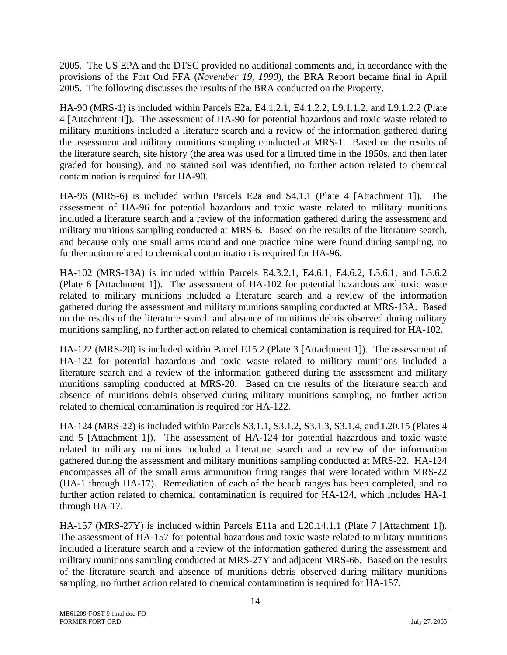2005. The US EPA and the DTSC provided no additional comments and, in accordance with the provisions of the Fort Ord FFA (*November 19, 1990*), the BRA Report became final in April 2005. The following discusses the results of the BRA conducted on the Property.

HA-90 (MRS-1) is included within Parcels E2a, E4.1.2.1, E4.1.2.2, L9.1.1.2, and L9.1.2.2 (Plate 4 [Attachment 1]). The assessment of HA-90 for potential hazardous and toxic waste related to military munitions included a literature search and a review of the information gathered during the assessment and military munitions sampling conducted at MRS-1. Based on the results of the literature search, site history (the area was used for a limited time in the 1950s, and then later graded for housing), and no stained soil was identified, no further action related to chemical contamination is required for HA-90.

HA-96 (MRS-6) is included within Parcels E2a and S4.1.1 (Plate 4 [Attachment 1]). The assessment of HA-96 for potential hazardous and toxic waste related to military munitions included a literature search and a review of the information gathered during the assessment and military munitions sampling conducted at MRS-6. Based on the results of the literature search, and because only one small arms round and one practice mine were found during sampling, no further action related to chemical contamination is required for HA-96.

HA-102 (MRS-13A) is included within Parcels E4.3.2.1, E4.6.1, E4.6.2, L5.6.1, and L5.6.2 (Plate 6 [Attachment 1]). The assessment of HA-102 for potential hazardous and toxic waste related to military munitions included a literature search and a review of the information gathered during the assessment and military munitions sampling conducted at MRS-13A. Based on the results of the literature search and absence of munitions debris observed during military munitions sampling, no further action related to chemical contamination is required for HA-102.

HA-122 (MRS-20) is included within Parcel E15.2 (Plate 3 [Attachment 1]). The assessment of HA-122 for potential hazardous and toxic waste related to military munitions included a literature search and a review of the information gathered during the assessment and military munitions sampling conducted at MRS-20. Based on the results of the literature search and absence of munitions debris observed during military munitions sampling, no further action related to chemical contamination is required for HA-122.

HA-124 (MRS-22) is included within Parcels S3.1.1, S3.1.2, S3.1.3, S3.1.4, and L20.15 (Plates 4 and 5 [Attachment 1]). The assessment of HA-124 for potential hazardous and toxic waste related to military munitions included a literature search and a review of the information gathered during the assessment and military munitions sampling conducted at MRS-22. HA-124 encompasses all of the small arms ammunition firing ranges that were located within MRS-22 (HA-1 through HA-17). Remediation of each of the beach ranges has been completed, and no further action related to chemical contamination is required for HA-124, which includes HA-1 through HA-17.

HA-157 (MRS-27Y) is included within Parcels E11a and L20.14.1.1 (Plate 7 [Attachment 1]). The assessment of HA-157 for potential hazardous and toxic waste related to military munitions included a literature search and a review of the information gathered during the assessment and military munitions sampling conducted at MRS-27Y and adjacent MRS-66. Based on the results of the literature search and absence of munitions debris observed during military munitions sampling, no further action related to chemical contamination is required for HA-157.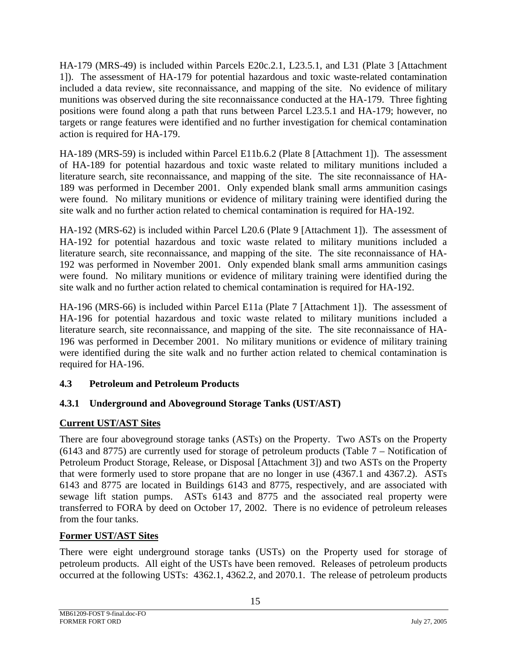<span id="page-17-0"></span>HA-179 (MRS-49) is included within Parcels E20c.2.1, L23.5.1, and L31 (Plate 3 [Attachment 1]). The assessment of HA-179 for potential hazardous and toxic waste-related contamination included a data review, site reconnaissance, and mapping of the site. No evidence of military munitions was observed during the site reconnaissance conducted at the HA-179. Three fighting positions were found along a path that runs between Parcel L23.5.1 and HA-179; however, no targets or range features were identified and no further investigation for chemical contamination action is required for HA-179.

HA-189 (MRS-59) is included within Parcel E11b.6.2 (Plate 8 [Attachment 1]). The assessment of HA-189 for potential hazardous and toxic waste related to military munitions included a literature search, site reconnaissance, and mapping of the site. The site reconnaissance of HA-189 was performed in December 2001. Only expended blank small arms ammunition casings were found. No military munitions or evidence of military training were identified during the site walk and no further action related to chemical contamination is required for HA-192.

HA-192 (MRS-62) is included within Parcel L20.6 (Plate 9 [Attachment 1]). The assessment of HA-192 for potential hazardous and toxic waste related to military munitions included a literature search, site reconnaissance, and mapping of the site. The site reconnaissance of HA-192 was performed in November 2001. Only expended blank small arms ammunition casings were found. No military munitions or evidence of military training were identified during the site walk and no further action related to chemical contamination is required for HA-192.

HA-196 (MRS-66) is included within Parcel E11a (Plate 7 [Attachment 1]). The assessment of HA-196 for potential hazardous and toxic waste related to military munitions included a literature search, site reconnaissance, and mapping of the site. The site reconnaissance of HA-196 was performed in December 2001. No military munitions or evidence of military training were identified during the site walk and no further action related to chemical contamination is required for HA-196.

## **4.3 Petroleum and Petroleum Products**

# **4.3.1 Underground and Aboveground Storage Tanks (UST/AST)**

## **Current UST/AST Sites**

There are four aboveground storage tanks (ASTs) on the Property. Two ASTs on the Property (6143 and 8775) are currently used for storage of petroleum products (Table 7 – Notification of Petroleum Product Storage, Release, or Disposal [Attachment 3]) and two ASTs on the Property that were formerly used to store propane that are no longer in use (4367.1 and 4367.2). ASTs 6143 and 8775 are located in Buildings 6143 and 8775, respectively, and are associated with sewage lift station pumps. ASTs 6143 and 8775 and the associated real property were transferred to FORA by deed on October 17, 2002. There is no evidence of petroleum releases from the four tanks.

# **Former UST/AST Sites**

There were eight underground storage tanks (USTs) on the Property used for storage of petroleum products. All eight of the USTs have been removed. Releases of petroleum products occurred at the following USTs: 4362.1, 4362.2, and 2070.1. The release of petroleum products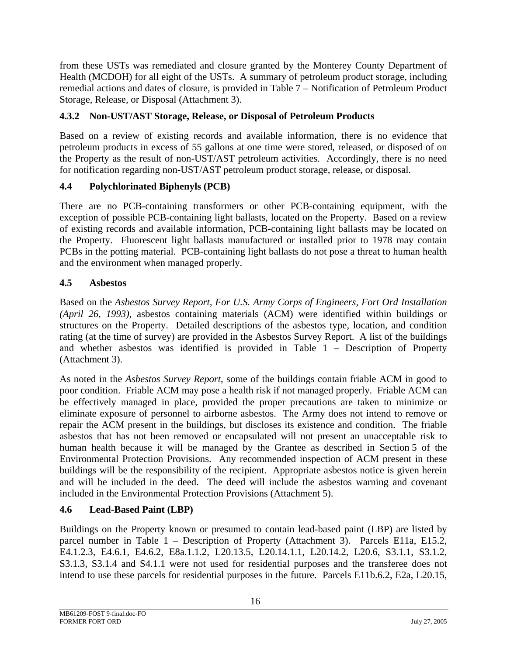<span id="page-18-0"></span>from these USTs was remediated and closure granted by the Monterey County Department of Health (MCDOH) for all eight of the USTs. A summary of petroleum product storage, including remedial actions and dates of closure, is provided in Table 7 – Notification of Petroleum Product Storage, Release, or Disposal (Attachment 3).

# **4.3.2 Non-UST/AST Storage, Release, or Disposal of Petroleum Products**

Based on a review of existing records and available information, there is no evidence that petroleum products in excess of 55 gallons at one time were stored, released, or disposed of on the Property as the result of non-UST/AST petroleum activities. Accordingly, there is no need for notification regarding non-UST/AST petroleum product storage, release, or disposal.

## **4.4 Polychlorinated Biphenyls (PCB)**

There are no PCB-containing transformers or other PCB-containing equipment, with the exception of possible PCB-containing light ballasts, located on the Property. Based on a review of existing records and available information, PCB-containing light ballasts may be located on the Property. Fluorescent light ballasts manufactured or installed prior to 1978 may contain PCBs in the potting material. PCB-containing light ballasts do not pose a threat to human health and the environment when managed properly.

## **4.5 Asbestos**

Based on the *Asbestos Survey Report, For U.S. Army Corps of Engineers, Fort Ord Installation (April 26, 1993)*, asbestos containing materials (ACM) were identified within buildings or structures on the Property. Detailed descriptions of the asbestos type, location, and condition rating (at the time of survey) are provided in the Asbestos Survey Report. A list of the buildings and whether asbestos was identified is provided in Table 1 – Description of Property (Attachment 3).

As noted in the *Asbestos Survey Report*, some of the buildings contain friable ACM in good to poor condition. Friable ACM may pose a health risk if not managed properly. Friable ACM can be effectively managed in place, provided the proper precautions are taken to minimize or eliminate exposure of personnel to airborne asbestos. The Army does not intend to remove or repair the ACM present in the buildings, but discloses its existence and condition. The friable asbestos that has not been removed or encapsulated will not present an unacceptable risk to human health because it will be managed by the Grantee as described in Section 5 of the Environmental Protection Provisions. Any recommended inspection of ACM present in these buildings will be the responsibility of the recipient. Appropriate asbestos notice is given herein and will be included in the deed. The deed will include the asbestos warning and covenant included in the Environmental Protection Provisions (Attachment 5).

## **4.6 Lead-Based Paint (LBP)**

Buildings on the Property known or presumed to contain lead-based paint (LBP) are listed by parcel number in Table 1 – Description of Property (Attachment 3). Parcels E11a, E15.2, E4.1.2.3, E4.6.1, E4.6.2, E8a.1.1.2, L20.13.5, L20.14.1.1, L20.14.2, L20.6, S3.1.1, S3.1.2, S3.1.3, S3.1.4 and S4.1.1 were not used for residential purposes and the transferee does not intend to use these parcels for residential purposes in the future. Parcels E11b.6.2, E2a, L20.15,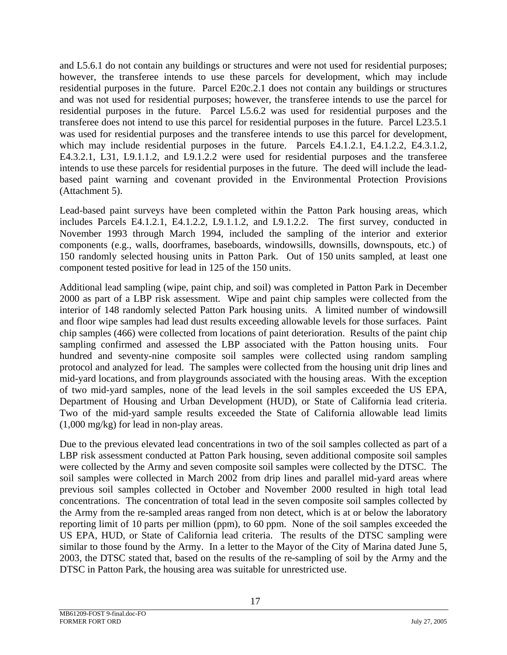and L5.6.1 do not contain any buildings or structures and were not used for residential purposes; however, the transferee intends to use these parcels for development, which may include residential purposes in the future. Parcel E20c.2.1 does not contain any buildings or structures and was not used for residential purposes; however, the transferee intends to use the parcel for residential purposes in the future. Parcel L5.6.2 was used for residential purposes and the transferee does not intend to use this parcel for residential purposes in the future. Parcel L23.5.1 was used for residential purposes and the transferee intends to use this parcel for development, which may include residential purposes in the future. Parcels E4.1.2.1, E4.1.2.2, E4.3.1.2, E4.3.2.1, L31, L9.1.1.2, and L9.1.2.2 were used for residential purposes and the transferee intends to use these parcels for residential purposes in the future. The deed will include the leadbased paint warning and covenant provided in the Environmental Protection Provisions (Attachment 5).

Lead-based paint surveys have been completed within the Patton Park housing areas, which includes Parcels E4.1.2.1, E4.1.2.2, L9.1.1.2, and L9.1.2.2. The first survey, conducted in November 1993 through March 1994, included the sampling of the interior and exterior components (e.g., walls, doorframes, baseboards, windowsills, downsills, downspouts, etc.) of 150 randomly selected housing units in Patton Park. Out of 150 units sampled, at least one component tested positive for lead in 125 of the 150 units.

Additional lead sampling (wipe, paint chip, and soil) was completed in Patton Park in December 2000 as part of a LBP risk assessment. Wipe and paint chip samples were collected from the interior of 148 randomly selected Patton Park housing units. A limited number of windowsill and floor wipe samples had lead dust results exceeding allowable levels for those surfaces. Paint chip samples (466) were collected from locations of paint deterioration. Results of the paint chip sampling confirmed and assessed the LBP associated with the Patton housing units. Four hundred and seventy-nine composite soil samples were collected using random sampling protocol and analyzed for lead. The samples were collected from the housing unit drip lines and mid-yard locations, and from playgrounds associated with the housing areas. With the exception of two mid-yard samples, none of the lead levels in the soil samples exceeded the US EPA, Department of Housing and Urban Development (HUD), or State of California lead criteria. Two of the mid-yard sample results exceeded the State of California allowable lead limits (1,000 mg/kg) for lead in non-play areas.

Due to the previous elevated lead concentrations in two of the soil samples collected as part of a LBP risk assessment conducted at Patton Park housing, seven additional composite soil samples were collected by the Army and seven composite soil samples were collected by the DTSC. The soil samples were collected in March 2002 from drip lines and parallel mid-yard areas where previous soil samples collected in October and November 2000 resulted in high total lead concentrations. The concentration of total lead in the seven composite soil samples collected by the Army from the re-sampled areas ranged from non detect, which is at or below the laboratory reporting limit of 10 parts per million (ppm), to 60 ppm. None of the soil samples exceeded the US EPA, HUD, or State of California lead criteria. The results of the DTSC sampling were similar to those found by the Army. In a letter to the Mayor of the City of Marina dated June 5, 2003, the DTSC stated that, based on the results of the re-sampling of soil by the Army and the DTSC in Patton Park, the housing area was suitable for unrestricted use.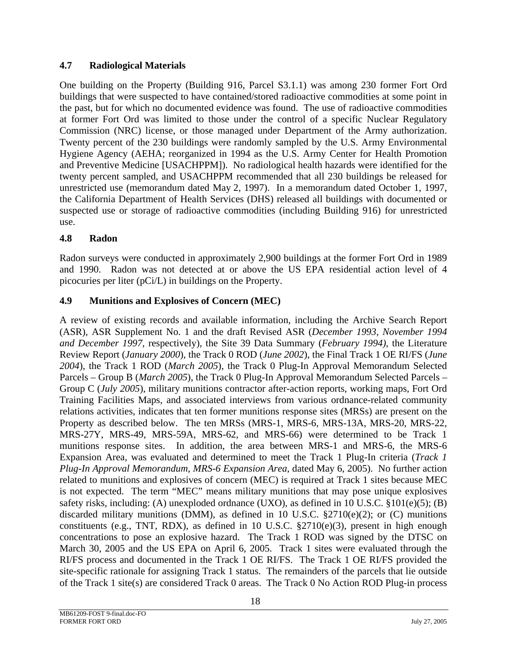## <span id="page-20-0"></span>**4.7 Radiological Materials**

One building on the Property (Building 916, Parcel S3.1.1) was among 230 former Fort Ord buildings that were suspected to have contained/stored radioactive commodities at some point in the past, but for which no documented evidence was found. The use of radioactive commodities at former Fort Ord was limited to those under the control of a specific Nuclear Regulatory Commission (NRC) license, or those managed under Department of the Army authorization. Twenty percent of the 230 buildings were randomly sampled by the U.S. Army Environmental Hygiene Agency (AEHA; reorganized in 1994 as the U.S. Army Center for Health Promotion and Preventive Medicine [USACHPPM]). No radiological health hazards were identified for the twenty percent sampled, and USACHPPM recommended that all 230 buildings be released for unrestricted use (memorandum dated May 2, 1997). In a memorandum dated October 1, 1997, the California Department of Health Services (DHS) released all buildings with documented or suspected use or storage of radioactive commodities (including Building 916) for unrestricted use.

## **4.8 Radon**

Radon surveys were conducted in approximately 2,900 buildings at the former Fort Ord in 1989 and 1990. Radon was not detected at or above the US EPA residential action level of 4 picocuries per liter (pCi/L) in buildings on the Property.

## **4.9 Munitions and Explosives of Concern (MEC)**

A review of existing records and available information, including the Archive Search Report (ASR), ASR Supplement No. 1 and the draft Revised ASR (*December 1993, November 1994 and December 1997*, respectively), the Site 39 Data Summary (*February 1994)*, the Literature Review Report (*January 2000*), the Track 0 ROD (*June 2002*), the Final Track 1 OE RI/FS (*June 2004*), the Track 1 ROD (*March 2005*), the Track 0 Plug-In Approval Memorandum Selected Parcels – Group B (*March 2005*), the Track 0 Plug-In Approval Memorandum Selected Parcels – Group C (*July 2005*), military munitions contractor after-action reports, working maps, Fort Ord Training Facilities Maps, and associated interviews from various ordnance-related community relations activities, indicates that ten former munitions response sites (MRSs) are present on the Property as described below. The ten MRSs (MRS-1, MRS-6, MRS-13A, MRS-20, MRS-22, MRS-27Y, MRS-49, MRS-59A, MRS-62, and MRS-66) were determined to be Track 1 munitions response sites. In addition, the area between MRS-1 and MRS-6, the MRS-6 Expansion Area, was evaluated and determined to meet the Track 1 Plug-In criteria (*Track 1 Plug-In Approval Memorandum, MRS-6 Expansion Area*, dated May 6, 2005). No further action related to munitions and explosives of concern (MEC) is required at Track 1 sites because MEC is not expected. The term "MEC" means military munitions that may pose unique explosives safety risks, including: (A) unexploded ordnance (UXO), as defined in 10 U.S.C.  $\S 101(e)(5)$ ; (B) discarded military munitions (DMM), as defined in 10 U.S.C.  $\S 2710(e)(2)$ ; or (C) munitions constituents (e.g., TNT, RDX), as defined in 10 U.S.C. §2710(e)(3), present in high enough concentrations to pose an explosive hazard. The Track 1 ROD was signed by the DTSC on March 30, 2005 and the US EPA on April 6, 2005. Track 1 sites were evaluated through the RI/FS process and documented in the Track 1 OE RI/FS. The Track 1 OE RI/FS provided the site-specific rationale for assigning Track 1 status. The remainders of the parcels that lie outside of the Track 1 site(s) are considered Track 0 areas. The Track 0 No Action ROD Plug-in process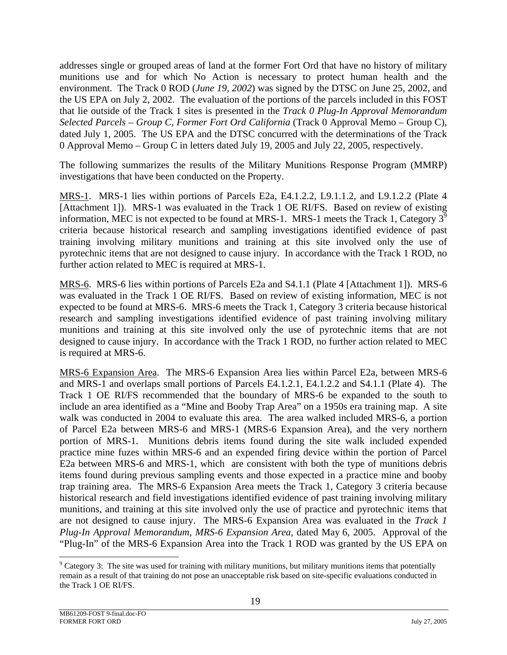addresses single or grouped areas of land at the former Fort Ord that have no history of military munitions use and for which No Action is necessary to protect human health and the environment. The Track 0 ROD (*June 19, 2002*) was signed by the DTSC on June 25, 2002, and the US EPA on July 2, 2002. The evaluation of the portions of the parcels included in this FOST that lie outside of the Track 1 sites is presented in the *Track 0 Plug-In Approval Memorandum Selected Parcels – Group C, Former Fort Ord California* (Track 0 Approval Memo – Group C), dated July 1, 2005. The US EPA and the DTSC concurred with the determinations of the Track 0 Approval Memo – Group C in letters dated July 19, 2005 and July 22, 2005, respectively.

The following summarizes the results of the Military Munitions Response Program (MMRP) investigations that have been conducted on the Property.

MRS-1. MRS-1 lies within portions of Parcels E2a, E4.1.2.2, L9.1.1.2, and L9.1.2.2 (Plate 4 [Attachment 1]). MRS-1 was evaluated in the Track 1 OE RI/FS. Based on review of existing information, MEC is not expected to be found at MRS-1. MRS-1 meets the Track 1, Category  $3^9$ criteria because historical research and sampling investigations identified evidence of past training involving military munitions and training at this site involved only the use of pyrotechnic items that are not designed to cause injury. In accordance with the Track 1 ROD, no further action related to MEC is required at MRS-1.

MRS-6. MRS-6 lies within portions of Parcels E2a and S4.1.1 (Plate 4 [Attachment 1]). MRS-6 was evaluated in the Track 1 OE RI/FS. Based on review of existing information, MEC is not expected to be found at MRS-6. MRS-6 meets the Track 1, Category 3 criteria because historical research and sampling investigations identified evidence of past training involving military munitions and training at this site involved only the use of pyrotechnic items that are not designed to cause injury. In accordance with the Track 1 ROD, no further action related to MEC is required at MRS-6.

MRS-6 Expansion Area. The MRS-6 Expansion Area lies within Parcel E2a, between MRS-6 and MRS-1 and overlaps small portions of Parcels E4.1.2.1, E4.1.2.2 and S4.1.1 (Plate 4). The Track 1 OE RI/FS recommended that the boundary of MRS-6 be expanded to the south to include an area identified as a "Mine and Booby Trap Area" on a 1950s era training map. A site walk was conducted in 2004 to evaluate this area. The area walked included MRS-6, a portion of Parcel E2a between MRS-6 and MRS-1 (MRS-6 Expansion Area), and the very northern portion of MRS-1. Munitions debris items found during the site walk included expended practice mine fuzes within MRS-6 and an expended firing device within the portion of Parcel E2a between MRS-6 and MRS-1, which are consistent with both the type of munitions debris items found during previous sampling events and those expected in a practice mine and booby trap training area. The MRS-6 Expansion Area meets the Track 1, Category 3 criteria because historical research and field investigations identified evidence of past training involving military munitions, and training at this site involved only the use of practice and pyrotechnic items that are not designed to cause injury. The MRS-6 Expansion Area was evaluated in the *Track 1 Plug-In Approval Memorandum, MRS-6 Expansion Area,* dated May 6, 2005. Approval of the "Plug-In" of the MRS-6 Expansion Area into the Track 1 ROD was granted by the US EPA on

l

<span id="page-21-0"></span> $9^9$  Category 3: The site was used for training with military munitions, but military munitions items that potentially remain as a result of that training do not pose an unacceptable risk based on site-specific evaluations conducted in the Track 1 OE RI/FS.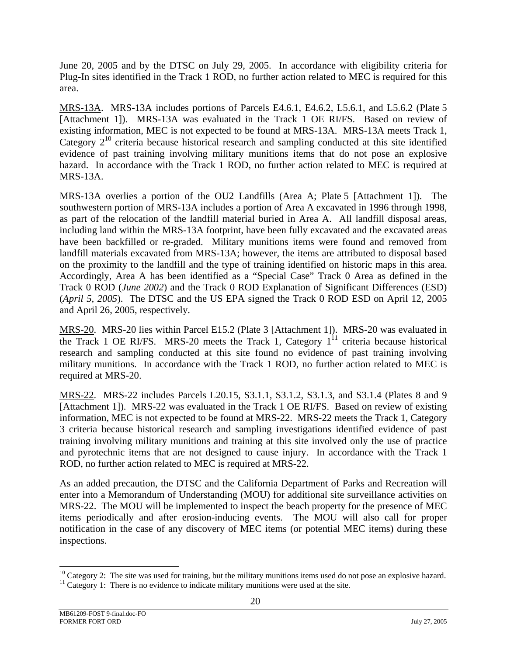June 20, 2005 and by the DTSC on July 29, 2005. In accordance with eligibility criteria for Plug-In sites identified in the Track 1 ROD, no further action related to MEC is required for this area.

MRS-13A. MRS-13A includes portions of Parcels E4.6.1, E4.6.2, L5.6.1, and L5.6.2 (Plate 5 [Attachment 1]). MRS-13A was evaluated in the Track 1 OE RI/FS. Based on review of existing information, MEC is not expected to be found at MRS-13A. MRS-13A meets Track 1, Category  $2^{10}$  criteria because historical research and sampling conducted at this site identified evidence of past training involving military munitions items that do not pose an explosive hazard. In accordance with the Track 1 ROD, no further action related to MEC is required at MRS-13A.

MRS-13A overlies a portion of the OU2 Landfills (Area A; Plate 5 [Attachment 1]). The southwestern portion of MRS-13A includes a portion of Area A excavated in 1996 through 1998, as part of the relocation of the landfill material buried in Area A. All landfill disposal areas, including land within the MRS-13A footprint, have been fully excavated and the excavated areas have been backfilled or re-graded. Military munitions items were found and removed from landfill materials excavated from MRS-13A; however, the items are attributed to disposal based on the proximity to the landfill and the type of training identified on historic maps in this area. Accordingly, Area A has been identified as a "Special Case" Track 0 Area as defined in the Track 0 ROD (*June 2002*) and the Track 0 ROD Explanation of Significant Differences (ESD) (*April 5, 2005*). The DTSC and the US EPA signed the Track 0 ROD ESD on April 12, 2005 and April 26, 2005, respectively.

MRS-20. MRS-20 lies within Parcel E15.2 (Plate 3 [Attachment 1]). MRS-20 was evaluated in the Track 1 OE RI/FS. MRS-20 meets the Track 1, Category  $1^{11}$  criteria because historical research and sampling conducted at this site found no evidence of past training involving military munitions. In accordance with the Track 1 ROD, no further action related to MEC is required at MRS-20.

MRS-22. MRS-22 includes Parcels L20.15, S3.1.1, S3.1.2, S3.1.3, and S3.1.4 (Plates 8 and 9 [Attachment 1]). MRS-22 was evaluated in the Track 1 OE RI/FS. Based on review of existing information, MEC is not expected to be found at MRS-22. MRS-22 meets the Track 1, Category 3 criteria because historical research and sampling investigations identified evidence of past training involving military munitions and training at this site involved only the use of practice and pyrotechnic items that are not designed to cause injury. In accordance with the Track 1 ROD, no further action related to MEC is required at MRS-22.

As an added precaution, the DTSC and the California Department of Parks and Recreation will enter into a Memorandum of Understanding (MOU) for additional site surveillance activities on MRS-22. The MOU will be implemented to inspect the beach property for the presence of MEC items periodically and after erosion-inducing events. The MOU will also call for proper notification in the case of any discovery of MEC items (or potential MEC items) during these inspections.

<span id="page-22-0"></span> $10$  Category 2: The site was used for training, but the military munitions items used do not pose an explosive hazard.

<span id="page-22-1"></span> $11$  Category 1: There is no evidence to indicate military munitions were used at the site.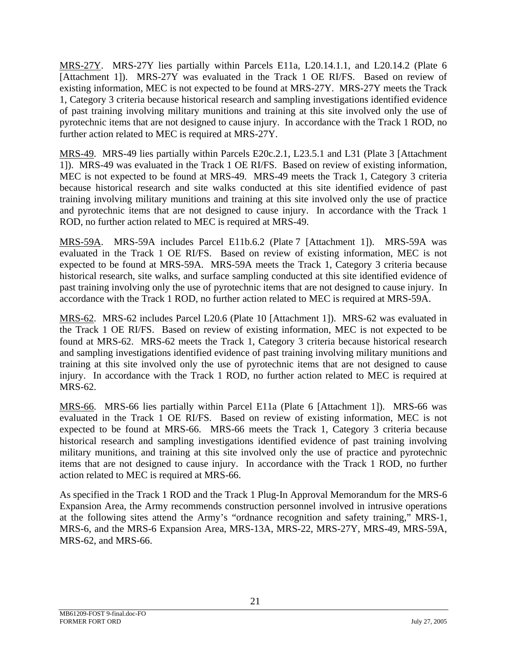MRS-27Y. MRS-27Y lies partially within Parcels E11a, L20.14.1.1, and L20.14.2 (Plate 6 [Attachment 1]). MRS-27Y was evaluated in the Track 1 OE RI/FS. Based on review of existing information, MEC is not expected to be found at MRS-27Y. MRS-27Y meets the Track 1, Category 3 criteria because historical research and sampling investigations identified evidence of past training involving military munitions and training at this site involved only the use of pyrotechnic items that are not designed to cause injury. In accordance with the Track 1 ROD, no further action related to MEC is required at MRS-27Y.

MRS-49. MRS-49 lies partially within Parcels E20c.2.1, L23.5.1 and L31 (Plate 3 [Attachment 1]). MRS-49 was evaluated in the Track 1 OE RI/FS. Based on review of existing information, MEC is not expected to be found at MRS-49. MRS-49 meets the Track 1, Category 3 criteria because historical research and site walks conducted at this site identified evidence of past training involving military munitions and training at this site involved only the use of practice and pyrotechnic items that are not designed to cause injury. In accordance with the Track 1 ROD, no further action related to MEC is required at MRS-49.

MRS-59A. MRS-59A includes Parcel E11b.6.2 (Plate 7 [Attachment 1]). MRS-59A was evaluated in the Track 1 OE RI/FS. Based on review of existing information, MEC is not expected to be found at MRS-59A. MRS-59A meets the Track 1, Category 3 criteria because historical research, site walks, and surface sampling conducted at this site identified evidence of past training involving only the use of pyrotechnic items that are not designed to cause injury. In accordance with the Track 1 ROD, no further action related to MEC is required at MRS-59A.

MRS-62. MRS-62 includes Parcel L20.6 (Plate 10 [Attachment 1]). MRS-62 was evaluated in the Track 1 OE RI/FS. Based on review of existing information, MEC is not expected to be found at MRS-62. MRS-62 meets the Track 1, Category 3 criteria because historical research and sampling investigations identified evidence of past training involving military munitions and training at this site involved only the use of pyrotechnic items that are not designed to cause injury. In accordance with the Track 1 ROD, no further action related to MEC is required at MRS-62.

MRS-66. MRS-66 lies partially within Parcel E11a (Plate 6 [Attachment 1]). MRS-66 was evaluated in the Track 1 OE RI/FS. Based on review of existing information, MEC is not expected to be found at MRS-66. MRS-66 meets the Track 1, Category 3 criteria because historical research and sampling investigations identified evidence of past training involving military munitions, and training at this site involved only the use of practice and pyrotechnic items that are not designed to cause injury. In accordance with the Track 1 ROD, no further action related to MEC is required at MRS-66.

As specified in the Track 1 ROD and the Track 1 Plug-In Approval Memorandum for the MRS-6 Expansion Area, the Army recommends construction personnel involved in intrusive operations at the following sites attend the Army's "ordnance recognition and safety training," MRS-1, MRS-6, and the MRS-6 Expansion Area, MRS-13A, MRS-22, MRS-27Y, MRS-49, MRS-59A, MRS-62, and MRS-66.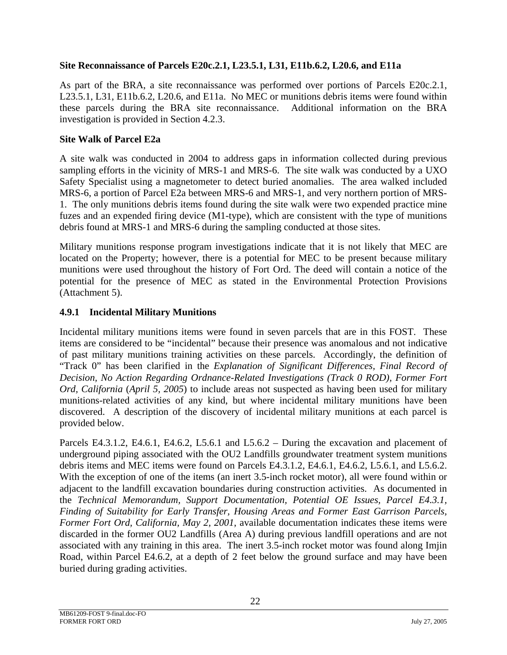#### <span id="page-24-0"></span>**Site Reconnaissance of Parcels E20c.2.1, L23.5.1, L31, E11b.6.2, L20.6, and E11a**

As part of the BRA, a site reconnaissance was performed over portions of Parcels E20c.2.1, L23.5.1, L31, E11b.6.2, L20.6, and E11a. No MEC or munitions debris items were found within these parcels during the BRA site reconnaissance. Additional information on the BRA investigation is provided in Section 4.2.3.

#### **Site Walk of Parcel E2a**

A site walk was conducted in 2004 to address gaps in information collected during previous sampling efforts in the vicinity of MRS-1 and MRS-6. The site walk was conducted by a UXO Safety Specialist using a magnetometer to detect buried anomalies. The area walked included MRS-6, a portion of Parcel E2a between MRS-6 and MRS-1, and very northern portion of MRS-1. The only munitions debris items found during the site walk were two expended practice mine fuzes and an expended firing device (M1-type), which are consistent with the type of munitions debris found at MRS-1 and MRS-6 during the sampling conducted at those sites.

Military munitions response program investigations indicate that it is not likely that MEC are located on the Property; however, there is a potential for MEC to be present because military munitions were used throughout the history of Fort Ord. The deed will contain a notice of the potential for the presence of MEC as stated in the Environmental Protection Provisions (Attachment 5).

## **4.9.1 Incidental Military Munitions**

Incidental military munitions items were found in seven parcels that are in this FOST. These items are considered to be "incidental" because their presence was anomalous and not indicative of past military munitions training activities on these parcels. Accordingly, the definition of "Track 0" has been clarified in the *Explanation of Significant Differences, Final Record of Decision, No Action Regarding Ordnance-Related Investigations (Track 0 ROD), Former Fort Ord, California* (*April 5, 2005*) to include areas not suspected as having been used for military munitions-related activities of any kind, but where incidental military munitions have been discovered. A description of the discovery of incidental military munitions at each parcel is provided below.

Parcels E4.3.1.2, E4.6.1, E4.6.2, L5.6.1 and L5.6.2 – During the excavation and placement of underground piping associated with the OU2 Landfills groundwater treatment system munitions debris items and MEC items were found on Parcels E4.3.1.2, E4.6.1, E4.6.2, L5.6.1, and L5.6.2. With the exception of one of the items (an inert 3.5-inch rocket motor), all were found within or adjacent to the landfill excavation boundaries during construction activities. As documented in the *Technical Memorandum, Support Documentation, Potential OE Issues, Parcel E4.3.1, Finding of Suitability for Early Transfer, Housing Areas and Former East Garrison Parcels, Former Fort Ord, California, May 2, 2001*, available documentation indicates these items were discarded in the former OU2 Landfills (Area A) during previous landfill operations and are not associated with any training in this area. The inert 3.5-inch rocket motor was found along Imjin Road, within Parcel E4.6.2, at a depth of 2 feet below the ground surface and may have been buried during grading activities.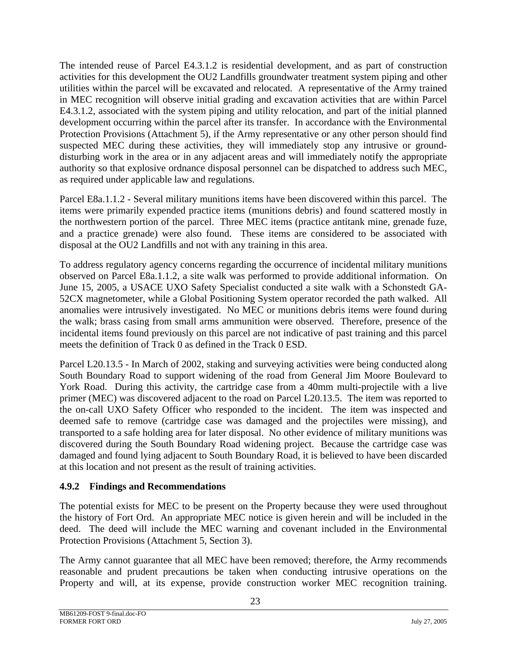<span id="page-25-0"></span>The intended reuse of Parcel E4.3.1.2 is residential development, and as part of construction activities for this development the OU2 Landfills groundwater treatment system piping and other utilities within the parcel will be excavated and relocated. A representative of the Army trained in MEC recognition will observe initial grading and excavation activities that are within Parcel E4.3.1.2, associated with the system piping and utility relocation, and part of the initial planned development occurring within the parcel after its transfer. In accordance with the Environmental Protection Provisions (Attachment 5), if the Army representative or any other person should find suspected MEC during these activities, they will immediately stop any intrusive or grounddisturbing work in the area or in any adjacent areas and will immediately notify the appropriate authority so that explosive ordnance disposal personnel can be dispatched to address such MEC, as required under applicable law and regulations.

Parcel E8a.1.1.2 - Several military munitions items have been discovered within this parcel. The items were primarily expended practice items (munitions debris) and found scattered mostly in the northwestern portion of the parcel. Three MEC items (practice antitank mine, grenade fuze, and a practice grenade) were also found. These items are considered to be associated with disposal at the OU2 Landfills and not with any training in this area.

To address regulatory agency concerns regarding the occurrence of incidental military munitions observed on Parcel E8a.1.1.2, a site walk was performed to provide additional information. On June 15, 2005, a USACE UXO Safety Specialist conducted a site walk with a Schonstedt GA-52CX magnetometer, while a Global Positioning System operator recorded the path walked. All anomalies were intrusively investigated. No MEC or munitions debris items were found during the walk; brass casing from small arms ammunition were observed. Therefore, presence of the incidental items found previously on this parcel are not indicative of past training and this parcel meets the definition of Track 0 as defined in the Track 0 ESD.

Parcel L20.13.5 - In March of 2002, staking and surveying activities were being conducted along South Boundary Road to support widening of the road from General Jim Moore Boulevard to York Road. During this activity, the cartridge case from a 40mm multi-projectile with a live primer (MEC) was discovered adjacent to the road on Parcel L20.13.5. The item was reported to the on-call UXO Safety Officer who responded to the incident. The item was inspected and deemed safe to remove (cartridge case was damaged and the projectiles were missing), and transported to a safe holding area for later disposal. No other evidence of military munitions was discovered during the South Boundary Road widening project. Because the cartridge case was damaged and found lying adjacent to South Boundary Road, it is believed to have been discarded at this location and not present as the result of training activities.

# **4.9.2 Findings and Recommendations**

The potential exists for MEC to be present on the Property because they were used throughout the history of Fort Ord. An appropriate MEC notice is given herein and will be included in the deed. The deed will include the MEC warning and covenant included in the Environmental Protection Provisions (Attachment 5, Section 3).

The Army cannot guarantee that all MEC have been removed; therefore, the Army recommends reasonable and prudent precautions be taken when conducting intrusive operations on the Property and will, at its expense, provide construction worker MEC recognition training.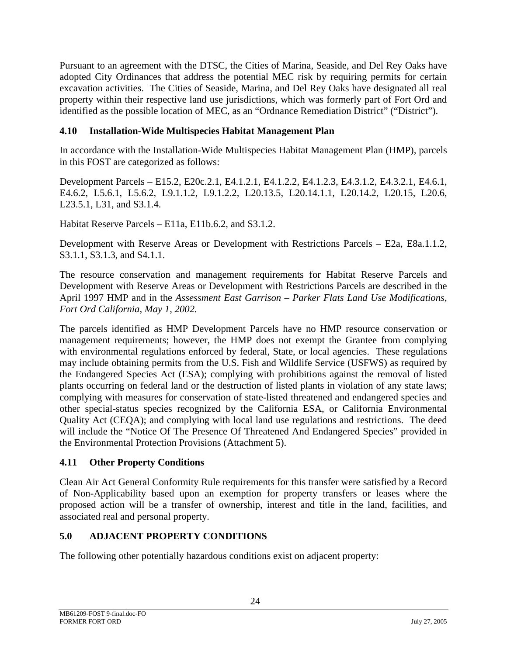<span id="page-26-0"></span>Pursuant to an agreement with the DTSC, the Cities of Marina, Seaside, and Del Rey Oaks have adopted City Ordinances that address the potential MEC risk by requiring permits for certain excavation activities. The Cities of Seaside, Marina, and Del Rey Oaks have designated all real property within their respective land use jurisdictions, which was formerly part of Fort Ord and identified as the possible location of MEC, as an "Ordnance Remediation District" ("District").

## **4.10 Installation-Wide Multispecies Habitat Management Plan**

In accordance with the Installation-Wide Multispecies Habitat Management Plan (HMP), parcels in this FOST are categorized as follows:

Development Parcels – E15.2, E20c.2.1, E4.1.2.1, E4.1.2.2, E4.1.2.3, E4.3.1.2, E4.3.2.1, E4.6.1, E4.6.2, L5.6.1, L5.6.2, L9.1.1.2, L9.1.2.2, L20.13.5, L20.14.1.1, L20.14.2, L20.15, L20.6, L23.5.1, L31, and S3.1.4.

Habitat Reserve Parcels – E11a, E11b.6.2, and S3.1.2.

Development with Reserve Areas or Development with Restrictions Parcels – E2a, E8a.1.1.2, S3.1.1, S3.1.3, and S4.1.1.

The resource conservation and management requirements for Habitat Reserve Parcels and Development with Reserve Areas or Development with Restrictions Parcels are described in the April 1997 HMP and in the *Assessment East Garrison – Parker Flats Land Use Modifications, Fort Ord California, May 1, 2002.*

The parcels identified as HMP Development Parcels have no HMP resource conservation or management requirements; however, the HMP does not exempt the Grantee from complying with environmental regulations enforced by federal, State, or local agencies. These regulations may include obtaining permits from the U.S. Fish and Wildlife Service (USFWS) as required by the Endangered Species Act (ESA); complying with prohibitions against the removal of listed plants occurring on federal land or the destruction of listed plants in violation of any state laws; complying with measures for conservation of state-listed threatened and endangered species and other special-status species recognized by the California ESA, or California Environmental Quality Act (CEQA); and complying with local land use regulations and restrictions. The deed will include the "Notice Of The Presence Of Threatened And Endangered Species" provided in the Environmental Protection Provisions (Attachment 5).

## **4.11 Other Property Conditions**

Clean Air Act General Conformity Rule requirements for this transfer were satisfied by a Record of Non-Applicability based upon an exemption for property transfers or leases where the proposed action will be a transfer of ownership, interest and title in the land, facilities, and associated real and personal property.

# **5.0 ADJACENT PROPERTY CONDITIONS**

The following other potentially hazardous conditions exist on adjacent property: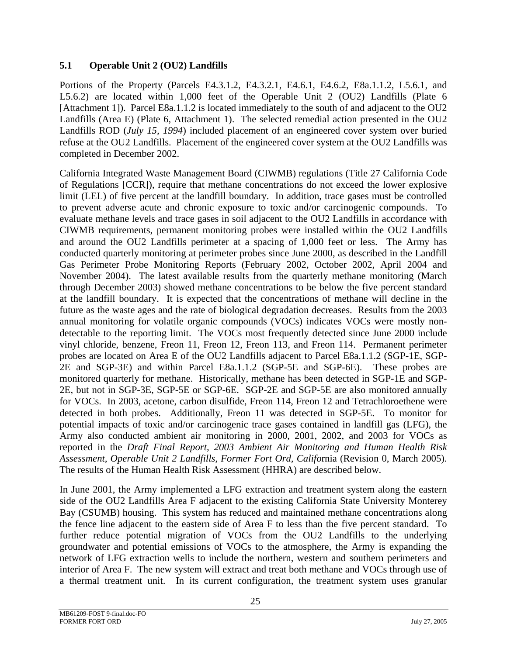## <span id="page-27-0"></span>**5.1 Operable Unit 2 (OU2) Landfills**

Portions of the Property (Parcels E4.3.1.2, E4.3.2.1, E4.6.1, E4.6.2, E8a.1.1.2, L5.6.1, and L5.6.2) are located within 1,000 feet of the Operable Unit 2 (OU2) Landfills (Plate 6 [Attachment 1]). Parcel E8a.1.1.2 is located immediately to the south of and adjacent to the OU2 Landfills (Area E) (Plate 6, Attachment 1). The selected remedial action presented in the OU2 Landfills ROD (*July 15, 1994*) included placement of an engineered cover system over buried refuse at the OU2 Landfills. Placement of the engineered cover system at the OU2 Landfills was completed in December 2002.

California Integrated Waste Management Board (CIWMB) regulations (Title 27 California Code of Regulations [CCR]), require that methane concentrations do not exceed the lower explosive limit (LEL) of five percent at the landfill boundary. In addition, trace gases must be controlled to prevent adverse acute and chronic exposure to toxic and/or carcinogenic compounds. To evaluate methane levels and trace gases in soil adjacent to the OU2 Landfills in accordance with CIWMB requirements, permanent monitoring probes were installed within the OU2 Landfills and around the OU2 Landfills perimeter at a spacing of 1,000 feet or less. The Army has conducted quarterly monitoring at perimeter probes since June 2000, as described in the Landfill Gas Perimeter Probe Monitoring Reports (February 2002, October 2002, April 2004 and November 2004). The latest available results from the quarterly methane monitoring (March through December 2003) showed methane concentrations to be below the five percent standard at the landfill boundary. It is expected that the concentrations of methane will decline in the future as the waste ages and the rate of biological degradation decreases. Results from the 2003 annual monitoring for volatile organic compounds (VOCs) indicates VOCs were mostly nondetectable to the reporting limit. The VOCs most frequently detected since June 2000 include vinyl chloride, benzene, Freon 11, Freon 12, Freon 113, and Freon 114. Permanent perimeter probes are located on Area E of the OU2 Landfills adjacent to Parcel E8a.1.1.2 (SGP-1E, SGP-2E and SGP-3E) and within Parcel E8a.1.1.2 (SGP-5E and SGP-6E). These probes are monitored quarterly for methane. Historically, methane has been detected in SGP-1E and SGP-2E, but not in SGP-3E, SGP-5E or SGP-6E. SGP-2E and SGP-5E are also monitored annually for VOCs. In 2003, acetone, carbon disulfide, Freon 114, Freon 12 and Tetrachloroethene were detected in both probes. Additionally, Freon 11 was detected in SGP-5E. To monitor for potential impacts of toxic and/or carcinogenic trace gases contained in landfill gas (LFG), the Army also conducted ambient air monitoring in 2000, 2001, 2002, and 2003 for VOCs as reported in the *Draft Final Report, 2003 Ambient Air Monitoring and Human Health Risk Assessment, Operable Unit 2 Landfills, Former Fort Ord, Califo*rnia (Revision 0, March 2005). The results of the Human Health Risk Assessment (HHRA) are described below.

In June 2001, the Army implemented a LFG extraction and treatment system along the eastern side of the OU2 Landfills Area F adjacent to the existing California State University Monterey Bay (CSUMB) housing. This system has reduced and maintained methane concentrations along the fence line adjacent to the eastern side of Area F to less than the five percent standard. To further reduce potential migration of VOCs from the OU2 Landfills to the underlying groundwater and potential emissions of VOCs to the atmosphere, the Army is expanding the network of LFG extraction wells to include the northern, western and southern perimeters and interior of Area F. The new system will extract and treat both methane and VOCs through use of a thermal treatment unit. In its current configuration, the treatment system uses granular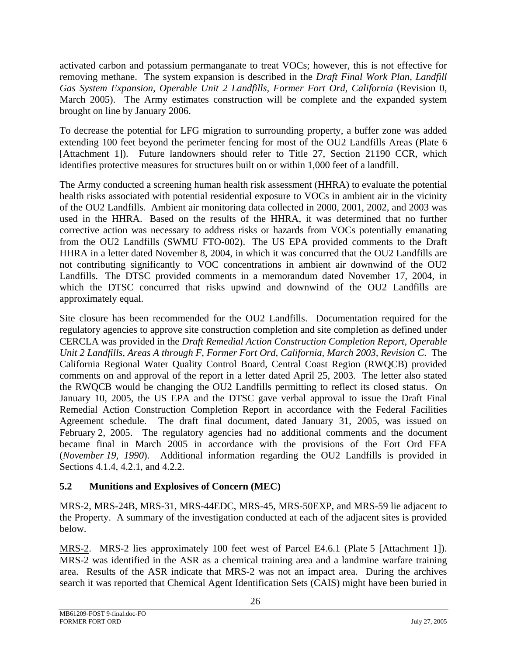<span id="page-28-0"></span>activated carbon and potassium permanganate to treat VOCs; however, this is not effective for removing methane. The system expansion is described in the *Draft Final Work Plan, Landfill Gas System Expansion, Operable Unit 2 Landfills, Former Fort Ord, California* (Revision 0, March 2005). The Army estimates construction will be complete and the expanded system brought on line by January 2006.

To decrease the potential for LFG migration to surrounding property, a buffer zone was added extending 100 feet beyond the perimeter fencing for most of the OU2 Landfills Areas (Plate 6 [Attachment 1]). Future landowners should refer to Title 27, Section 21190 CCR, which identifies protective measures for structures built on or within 1,000 feet of a landfill.

The Army conducted a screening human health risk assessment (HHRA) to evaluate the potential health risks associated with potential residential exposure to VOCs in ambient air in the vicinity of the OU2 Landfills. Ambient air monitoring data collected in 2000, 2001, 2002, and 2003 was used in the HHRA. Based on the results of the HHRA, it was determined that no further corrective action was necessary to address risks or hazards from VOCs potentially emanating from the OU2 Landfills (SWMU FTO-002). The US EPA provided comments to the Draft HHRA in a letter dated November 8, 2004, in which it was concurred that the OU2 Landfills are not contributing significantly to VOC concentrations in ambient air downwind of the OU2 Landfills. The DTSC provided comments in a memorandum dated November 17, 2004, in which the DTSC concurred that risks upwind and downwind of the OU2 Landfills are approximately equal.

Site closure has been recommended for the OU2 Landfills. Documentation required for the regulatory agencies to approve site construction completion and site completion as defined under CERCLA was provided in the *Draft Remedial Action Construction Completion Report, Operable Unit 2 Landfills, Areas A through F, Former Fort Ord, California, March 2003, Revision C*. The California Regional Water Quality Control Board, Central Coast Region (RWQCB) provided comments on and approval of the report in a letter dated April 25, 2003. The letter also stated the RWQCB would be changing the OU2 Landfills permitting to reflect its closed status. On January 10, 2005, the US EPA and the DTSC gave verbal approval to issue the Draft Final Remedial Action Construction Completion Report in accordance with the Federal Facilities Agreement schedule. The draft final document, dated January 31, 2005, was issued on February 2, 2005. The regulatory agencies had no additional comments and the document became final in March 2005 in accordance with the provisions of the Fort Ord FFA (*November 19, 1990*). Additional information regarding the OU2 Landfills is provided in Sections 4.1.4, 4.2.1, and 4.2.2.

# **5.2 Munitions and Explosives of Concern (MEC)**

MRS-2, MRS-24B, MRS-31, MRS-44EDC, MRS-45, MRS-50EXP, and MRS-59 lie adjacent to the Property. A summary of the investigation conducted at each of the adjacent sites is provided below.

MRS-2. MRS-2 lies approximately 100 feet west of Parcel E4.6.1 (Plate 5 [Attachment 1]). MRS-2 was identified in the ASR as a chemical training area and a landmine warfare training area. Results of the ASR indicate that MRS-2 was not an impact area. During the archives search it was reported that Chemical Agent Identification Sets (CAIS) might have been buried in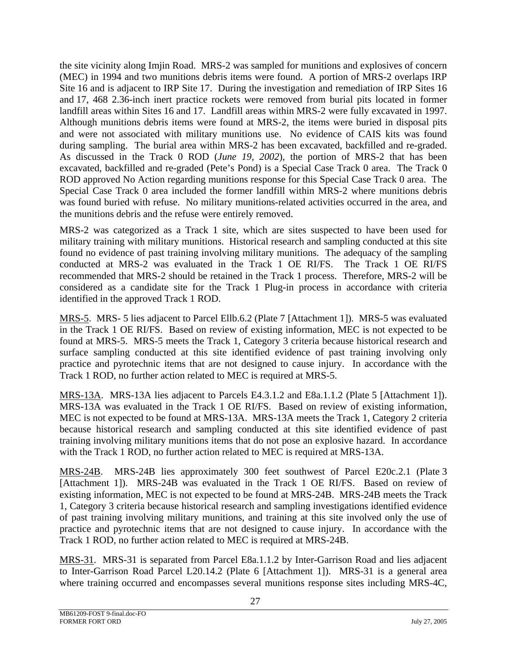the site vicinity along Imjin Road. MRS-2 was sampled for munitions and explosives of concern (MEC) in 1994 and two munitions debris items were found. A portion of MRS-2 overlaps IRP Site 16 and is adjacent to IRP Site 17. During the investigation and remediation of IRP Sites 16 and 17, 468 2.36-inch inert practice rockets were removed from burial pits located in former landfill areas within Sites 16 and 17. Landfill areas within MRS-2 were fully excavated in 1997. Although munitions debris items were found at MRS-2, the items were buried in disposal pits and were not associated with military munitions use. No evidence of CAIS kits was found during sampling. The burial area within MRS-2 has been excavated, backfilled and re-graded. As discussed in the Track 0 ROD (*June 19, 2002*), the portion of MRS-2 that has been excavated, backfilled and re-graded (Pete's Pond) is a Special Case Track 0 area. The Track 0 ROD approved No Action regarding munitions response for this Special Case Track 0 area. The Special Case Track 0 area included the former landfill within MRS-2 where munitions debris was found buried with refuse. No military munitions-related activities occurred in the area, and the munitions debris and the refuse were entirely removed.

MRS-2 was categorized as a Track 1 site, which are sites suspected to have been used for military training with military munitions. Historical research and sampling conducted at this site found no evidence of past training involving military munitions. The adequacy of the sampling conducted at MRS-2 was evaluated in the Track 1 OE RI/FS. The Track 1 OE RI/FS recommended that MRS-2 should be retained in the Track 1 process. Therefore, MRS-2 will be considered as a candidate site for the Track 1 Plug-in process in accordance with criteria identified in the approved Track 1 ROD.

MRS-5. MRS- 5 lies adjacent to Parcel Ellb.6.2 (Plate 7 [Attachment 1]). MRS-5 was evaluated in the Track 1 OE RI/FS. Based on review of existing information, MEC is not expected to be found at MRS-5. MRS-5 meets the Track 1, Category 3 criteria because historical research and surface sampling conducted at this site identified evidence of past training involving only practice and pyrotechnic items that are not designed to cause injury. In accordance with the Track 1 ROD, no further action related to MEC is required at MRS-5.

MRS-13A. MRS-13A lies adjacent to Parcels E4.3.1.2 and E8a.1.1.2 (Plate 5 [Attachment 1]). MRS-13A was evaluated in the Track 1 OE RI/FS. Based on review of existing information, MEC is not expected to be found at MRS-13A. MRS-13A meets the Track 1, Category 2 criteria because historical research and sampling conducted at this site identified evidence of past training involving military munitions items that do not pose an explosive hazard. In accordance with the Track 1 ROD, no further action related to MEC is required at MRS-13A.

MRS-24B. MRS-24B lies approximately 300 feet southwest of Parcel E20c.2.1 (Plate 3 [Attachment 1]). MRS-24B was evaluated in the Track 1 OE RI/FS. Based on review of existing information, MEC is not expected to be found at MRS-24B. MRS-24B meets the Track 1, Category 3 criteria because historical research and sampling investigations identified evidence of past training involving military munitions, and training at this site involved only the use of practice and pyrotechnic items that are not designed to cause injury. In accordance with the Track 1 ROD, no further action related to MEC is required at MRS-24B.

MRS-31. MRS-31 is separated from Parcel E8a.1.1.2 by Inter-Garrison Road and lies adjacent to Inter-Garrison Road Parcel L20.14.2 (Plate 6 [Attachment 1]). MRS-31 is a general area where training occurred and encompasses several munitions response sites including MRS-4C,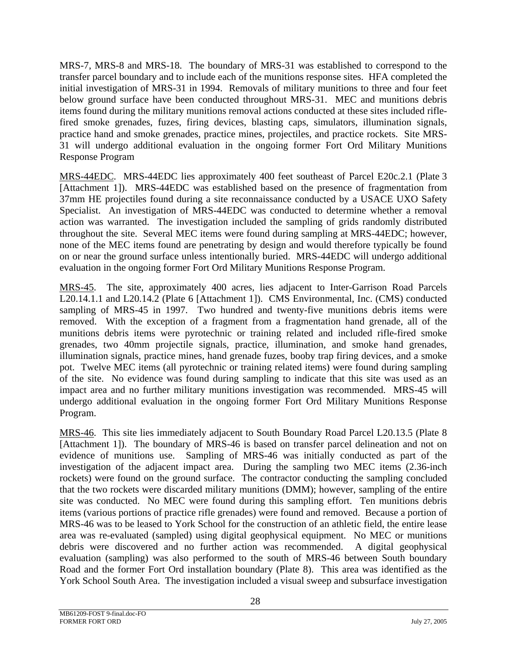MRS-7, MRS-8 and MRS-18. The boundary of MRS-31 was established to correspond to the transfer parcel boundary and to include each of the munitions response sites. HFA completed the initial investigation of MRS-31 in 1994. Removals of military munitions to three and four feet below ground surface have been conducted throughout MRS-31. MEC and munitions debris items found during the military munitions removal actions conducted at these sites included riflefired smoke grenades, fuzes, firing devices, blasting caps, simulators, illumination signals, practice hand and smoke grenades, practice mines, projectiles, and practice rockets. Site MRS-31 will undergo additional evaluation in the ongoing former Fort Ord Military Munitions Response Program

MRS-44EDC. MRS-44EDC lies approximately 400 feet southeast of Parcel E20c.2.1 (Plate 3 [Attachment 1]). MRS-44EDC was established based on the presence of fragmentation from 37mm HE projectiles found during a site reconnaissance conducted by a USACE UXO Safety Specialist. An investigation of MRS-44EDC was conducted to determine whether a removal action was warranted. The investigation included the sampling of grids randomly distributed throughout the site. Several MEC items were found during sampling at MRS-44EDC; however, none of the MEC items found are penetrating by design and would therefore typically be found on or near the ground surface unless intentionally buried. MRS-44EDC will undergo additional evaluation in the ongoing former Fort Ord Military Munitions Response Program.

MRS-45. The site, approximately 400 acres, lies adjacent to Inter-Garrison Road Parcels L20.14.1.1 and L20.14.2 (Plate 6 [Attachment 1]). CMS Environmental, Inc. (CMS) conducted sampling of MRS-45 in 1997. Two hundred and twenty-five munitions debris items were removed. With the exception of a fragment from a fragmentation hand grenade, all of the munitions debris items were pyrotechnic or training related and included rifle-fired smoke grenades, two 40mm projectile signals, practice, illumination, and smoke hand grenades, illumination signals, practice mines, hand grenade fuzes, booby trap firing devices, and a smoke pot. Twelve MEC items (all pyrotechnic or training related items) were found during sampling of the site. No evidence was found during sampling to indicate that this site was used as an impact area and no further military munitions investigation was recommended. MRS-45 will undergo additional evaluation in the ongoing former Fort Ord Military Munitions Response Program.

MRS-46. This site lies immediately adjacent to South Boundary Road Parcel L20.13.5 (Plate 8 [Attachment 1]). The boundary of MRS-46 is based on transfer parcel delineation and not on evidence of munitions use. Sampling of MRS-46 was initially conducted as part of the investigation of the adjacent impact area. During the sampling two MEC items (2.36-inch rockets) were found on the ground surface. The contractor conducting the sampling concluded that the two rockets were discarded military munitions (DMM); however, sampling of the entire site was conducted. No MEC were found during this sampling effort. Ten munitions debris items (various portions of practice rifle grenades) were found and removed. Because a portion of MRS-46 was to be leased to York School for the construction of an athletic field, the entire lease area was re-evaluated (sampled) using digital geophysical equipment. No MEC or munitions debris were discovered and no further action was recommended. A digital geophysical evaluation (sampling) was also performed to the south of MRS-46 between South boundary Road and the former Fort Ord installation boundary (Plate 8). This area was identified as the York School South Area. The investigation included a visual sweep and subsurface investigation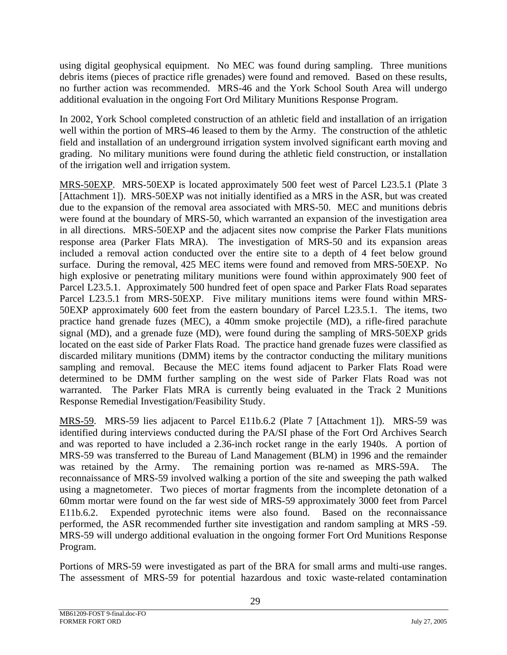using digital geophysical equipment. No MEC was found during sampling. Three munitions debris items (pieces of practice rifle grenades) were found and removed. Based on these results, no further action was recommended. MRS-46 and the York School South Area will undergo additional evaluation in the ongoing Fort Ord Military Munitions Response Program.

In 2002, York School completed construction of an athletic field and installation of an irrigation well within the portion of MRS-46 leased to them by the Army. The construction of the athletic field and installation of an underground irrigation system involved significant earth moving and grading. No military munitions were found during the athletic field construction, or installation of the irrigation well and irrigation system.

MRS-50EXP. MRS-50EXP is located approximately 500 feet west of Parcel L23.5.1 (Plate 3 [Attachment 1]). MRS-50EXP was not initially identified as a MRS in the ASR, but was created due to the expansion of the removal area associated with MRS-50. MEC and munitions debris were found at the boundary of MRS-50, which warranted an expansion of the investigation area in all directions. MRS-50EXP and the adjacent sites now comprise the Parker Flats munitions response area (Parker Flats MRA). The investigation of MRS-50 and its expansion areas included a removal action conducted over the entire site to a depth of 4 feet below ground surface. During the removal, 425 MEC items were found and removed from MRS-50EXP. No high explosive or penetrating military munitions were found within approximately 900 feet of Parcel L23.5.1. Approximately 500 hundred feet of open space and Parker Flats Road separates Parcel L23.5.1 from MRS-50EXP. Five military munitions items were found within MRS-50EXP approximately 600 feet from the eastern boundary of Parcel L23.5.1. The items, two practice hand grenade fuzes (MEC), a 40mm smoke projectile (MD), a rifle-fired parachute signal (MD), and a grenade fuze (MD), were found during the sampling of MRS-50EXP grids located on the east side of Parker Flats Road. The practice hand grenade fuzes were classified as discarded military munitions (DMM) items by the contractor conducting the military munitions sampling and removal. Because the MEC items found adjacent to Parker Flats Road were determined to be DMM further sampling on the west side of Parker Flats Road was not warranted. The Parker Flats MRA is currently being evaluated in the Track 2 Munitions Response Remedial Investigation/Feasibility Study.

MRS-59. MRS-59 lies adjacent to Parcel E11b.6.2 (Plate 7 [Attachment 1]). MRS-59 was identified during interviews conducted during the PA/SI phase of the Fort Ord Archives Search and was reported to have included a 2.36-inch rocket range in the early 1940s. A portion of MRS-59 was transferred to the Bureau of Land Management (BLM) in 1996 and the remainder was retained by the Army. The remaining portion was re-named as MRS-59A. The reconnaissance of MRS-59 involved walking a portion of the site and sweeping the path walked using a magnetometer. Two pieces of mortar fragments from the incomplete detonation of a 60mm mortar were found on the far west side of MRS-59 approximately 3000 feet from Parcel E11b.6.2. Expended pyrotechnic items were also found. Based on the reconnaissance performed, the ASR recommended further site investigation and random sampling at MRS -59. MRS-59 will undergo additional evaluation in the ongoing former Fort Ord Munitions Response Program.

Portions of MRS-59 were investigated as part of the BRA for small arms and multi-use ranges. The assessment of MRS-59 for potential hazardous and toxic waste-related contamination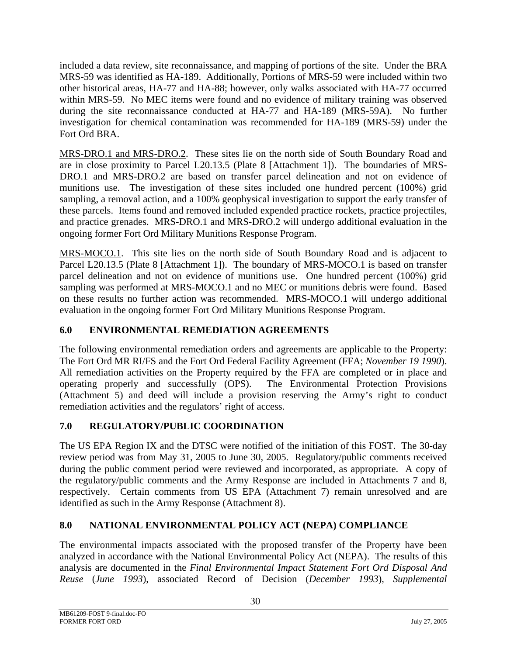<span id="page-32-0"></span>included a data review, site reconnaissance, and mapping of portions of the site. Under the BRA MRS-59 was identified as HA-189. Additionally, Portions of MRS-59 were included within two other historical areas, HA-77 and HA-88; however, only walks associated with HA-77 occurred within MRS-59. No MEC items were found and no evidence of military training was observed during the site reconnaissance conducted at HA-77 and HA-189 (MRS-59A). No further investigation for chemical contamination was recommended for HA-189 (MRS-59) under the Fort Ord BRA.

MRS-DRO.1 and MRS-DRO.2. These sites lie on the north side of South Boundary Road and are in close proximity to Parcel L20.13.5 (Plate 8 [Attachment 1]). The boundaries of MRS-DRO.1 and MRS-DRO.2 are based on transfer parcel delineation and not on evidence of munitions use. The investigation of these sites included one hundred percent (100%) grid sampling, a removal action, and a 100% geophysical investigation to support the early transfer of these parcels. Items found and removed included expended practice rockets, practice projectiles, and practice grenades. MRS-DRO.1 and MRS-DRO.2 will undergo additional evaluation in the ongoing former Fort Ord Military Munitions Response Program.

MRS-MOCO.1. This site lies on the north side of South Boundary Road and is adjacent to Parcel L20.13.5 (Plate 8 [Attachment 1]). The boundary of MRS-MOCO.1 is based on transfer parcel delineation and not on evidence of munitions use. One hundred percent (100%) grid sampling was performed at MRS-MOCO.1 and no MEC or munitions debris were found. Based on these results no further action was recommended. MRS-MOCO.1 will undergo additional evaluation in the ongoing former Fort Ord Military Munitions Response Program.

# **6.0 ENVIRONMENTAL REMEDIATION AGREEMENTS**

The following environmental remediation orders and agreements are applicable to the Property: The Fort Ord MR RI/FS and the Fort Ord Federal Facility Agreement (FFA; *November 19 1990*). All remediation activities on the Property required by the FFA are completed or in place and operating properly and successfully (OPS). The Environmental Protection Provisions (Attachment 5) and deed will include a provision reserving the Army's right to conduct remediation activities and the regulators' right of access.

# **7.0 REGULATORY/PUBLIC COORDINATION**

The US EPA Region IX and the DTSC were notified of the initiation of this FOST. The 30-day review period was from May 31, 2005 to June 30, 2005. Regulatory/public comments received during the public comment period were reviewed and incorporated, as appropriate. A copy of the regulatory/public comments and the Army Response are included in Attachments 7 and 8, respectively. Certain comments from US EPA (Attachment 7) remain unresolved and are identified as such in the Army Response (Attachment 8).

# **8.0 NATIONAL ENVIRONMENTAL POLICY ACT (NEPA) COMPLIANCE**

The environmental impacts associated with the proposed transfer of the Property have been analyzed in accordance with the National Environmental Policy Act (NEPA). The results of this analysis are documented in the *Final Environmental Impact Statement Fort Ord Disposal And Reuse* (*June 1993*), associated Record of Decision (*December 1993*), *Supplemental*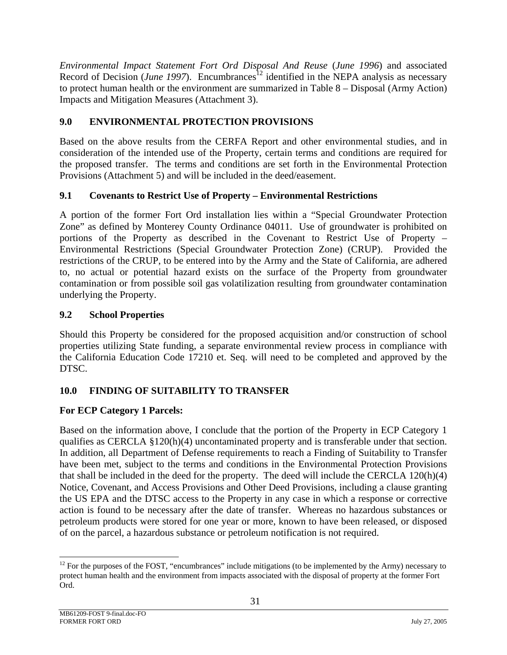<span id="page-33-0"></span>*Environmental Impact Statement Fort Ord Disposal And Reuse* (*June 1996*) and associated Record of Decision (*June 1997*). Encumbrances<sup>12</sup> identified in the NEPA analysis as necessary to protect human health or the environment are summarized in Table 8 – Disposal (Army Action) Impacts and Mitigation Measures (Attachment 3).

# **9.0 ENVIRONMENTAL PROTECTION PROVISIONS**

Based on the above results from the CERFA Report and other environmental studies, and in consideration of the intended use of the Property, certain terms and conditions are required for the proposed transfer. The terms and conditions are set forth in the Environmental Protection Provisions (Attachment 5) and will be included in the deed/easement.

## **9.1 Covenants to Restrict Use of Property – Environmental Restrictions**

A portion of the former Fort Ord installation lies within a "Special Groundwater Protection Zone" as defined by Monterey County Ordinance 04011. Use of groundwater is prohibited on portions of the Property as described in the Covenant to Restrict Use of Property – Environmental Restrictions (Special Groundwater Protection Zone) (CRUP). Provided the restrictions of the CRUP, to be entered into by the Army and the State of California, are adhered to, no actual or potential hazard exists on the surface of the Property from groundwater contamination or from possible soil gas volatilization resulting from groundwater contamination underlying the Property.

#### **9.2 School Properties**

Should this Property be considered for the proposed acquisition and/or construction of school properties utilizing State funding, a separate environmental review process in compliance with the California Education Code 17210 et. Seq. will need to be completed and approved by the DTSC.

## **10.0 FINDING OF SUITABILITY TO TRANSFER**

## **For ECP Category 1 Parcels:**

Based on the information above, I conclude that the portion of the Property in ECP Category 1 qualifies as CERCLA  $\S 120(h)(4)$  uncontaminated property and is transferable under that section. In addition, all Department of Defense requirements to reach a Finding of Suitability to Transfer have been met, subject to the terms and conditions in the Environmental Protection Provisions that shall be included in the deed for the property. The deed will include the CERCLA 120(h)(4) Notice, Covenant, and Access Provisions and Other Deed Provisions, including a clause granting the US EPA and the DTSC access to the Property in any case in which a response or corrective action is found to be necessary after the date of transfer. Whereas no hazardous substances or petroleum products were stored for one year or more, known to have been released, or disposed of on the parcel, a hazardous substance or petroleum notification is not required.

<span id="page-33-1"></span> $12$  For the purposes of the FOST, "encumbrances" include mitigations (to be implemented by the Army) necessary to protect human health and the environment from impacts associated with the disposal of property at the former Fort Ord.